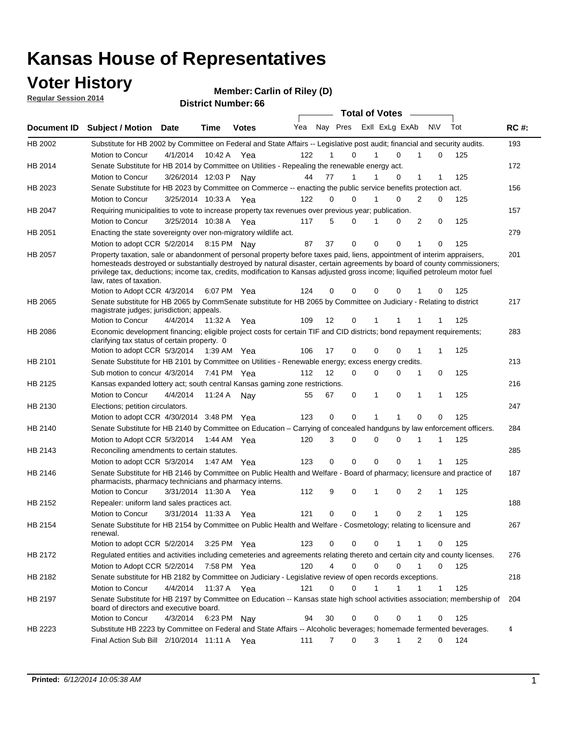### **Voter History**

**Regular Session 2014**

#### **Carlin of Riley (D)**

|                |                                                                                                                                                                                                                                                                                                                                                                                                                  |                       |         |              |     |    |                     | <b>Total of Votes</b>      |          |                             |   |     |             |
|----------------|------------------------------------------------------------------------------------------------------------------------------------------------------------------------------------------------------------------------------------------------------------------------------------------------------------------------------------------------------------------------------------------------------------------|-----------------------|---------|--------------|-----|----|---------------------|----------------------------|----------|-----------------------------|---|-----|-------------|
| Document ID    | <b>Subject / Motion Date</b>                                                                                                                                                                                                                                                                                                                                                                                     |                       | Time    | <b>Votes</b> | Yea |    |                     | Nay Pres Exll ExLg ExAb    |          | N\V                         |   | Tot | <b>RC#:</b> |
| HB 2002        | Substitute for HB 2002 by Committee on Federal and State Affairs -- Legislative post audit; financial and security audits.                                                                                                                                                                                                                                                                                       |                       |         |              |     |    |                     |                            |          |                             |   |     | 193         |
|                | Motion to Concur                                                                                                                                                                                                                                                                                                                                                                                                 | 4/1/2014              | 10:42 A | Yea          | 122 | 1  | $\Omega$            | $\Omega$                   |          | 1                           | 0 | 125 |             |
| HB 2014        | Senate Substitute for HB 2014 by Committee on Utilities - Repealing the renewable energy act.                                                                                                                                                                                                                                                                                                                    |                       |         |              |     |    |                     |                            |          |                             |   |     | 172         |
|                | Motion to Concur                                                                                                                                                                                                                                                                                                                                                                                                 | 3/26/2014 12:03 P     |         | Nav          | 44  | 77 | 1                   | $\Omega$                   |          | 1                           |   | 125 |             |
| HB 2023        | Senate Substitute for HB 2023 by Committee on Commerce -- enacting the public service benefits protection act.                                                                                                                                                                                                                                                                                                   |                       |         |              |     |    |                     |                            |          |                             |   |     | 156         |
|                | Motion to Concur                                                                                                                                                                                                                                                                                                                                                                                                 | 3/25/2014 10:33 A Yea |         |              | 122 | 0  | 0                   |                            | $\Omega$ | $\overline{2}$<br>$\Omega$  |   | 125 |             |
| HB 2047        | Requiring municipalities to vote to increase property tax revenues over previous year; publication.                                                                                                                                                                                                                                                                                                              |                       |         |              |     |    |                     |                            |          |                             |   |     | 157         |
|                | Motion to Concur                                                                                                                                                                                                                                                                                                                                                                                                 | 3/25/2014 10:38 A     |         | Yea          | 117 | 5  | $\Omega$            | $\Omega$<br>1              |          | 2                           | 0 | 125 |             |
| HB 2051        | Enacting the state sovereignty over non-migratory wildlife act.                                                                                                                                                                                                                                                                                                                                                  |                       |         |              |     |    |                     |                            |          |                             |   |     | 279         |
|                | Motion to adopt CCR 5/2/2014 8:15 PM Nay                                                                                                                                                                                                                                                                                                                                                                         |                       |         |              | 87  | 37 | 0                   | $\Omega$<br>$\Omega$       |          | 1                           | 0 | 125 |             |
| HB 2057        | Property taxation, sale or abandonment of personal property before taxes paid, liens, appointment of interim appraisers,<br>homesteads destroyed or substantially destroyed by natural disaster, certain agreements by board of county commissioners;<br>privilege tax, deductions; income tax, credits, modification to Kansas adjusted gross income; liquified petroleum motor fuel<br>law, rates of taxation. |                       |         |              | 124 |    | 0<br>0              | 0                          | 0        |                             | 0 | 125 | 201         |
|                | Motion to Adopt CCR 4/3/2014                                                                                                                                                                                                                                                                                                                                                                                     |                       |         | 6:07 PM Yea  |     |    |                     |                            |          |                             |   |     |             |
| <b>HB 2065</b> | Senate substitute for HB 2065 by CommSenate substitute for HB 2065 by Committee on Judiciary - Relating to district<br>magistrate judges; jurisdiction; appeals.                                                                                                                                                                                                                                                 |                       |         |              |     |    |                     |                            |          |                             |   |     | 217         |
|                | Motion to Concur                                                                                                                                                                                                                                                                                                                                                                                                 | 4/4/2014              | 11:32 A | Yea          | 109 | 12 | 0                   | 1<br>1                     |          | 1                           |   | 125 |             |
| <b>HB 2086</b> | Economic development financing; eligible project costs for certain TIF and CID districts; bond repayment requirements;<br>clarifying tax status of certain property. 0                                                                                                                                                                                                                                           |                       |         |              |     |    |                     |                            |          |                             |   |     | 283         |
|                | Motion to adopt CCR 5/3/2014                                                                                                                                                                                                                                                                                                                                                                                     |                       |         | 1:39 AM Yea  | 106 | 17 | 0                   | $\Omega$<br>$\Omega$       |          | 1<br>1                      |   | 125 |             |
| HB 2101        | Senate Substitute for HB 2101 by Committee on Utilities - Renewable energy; excess energy credits.                                                                                                                                                                                                                                                                                                               |                       |         |              |     |    |                     |                            |          |                             |   |     | 213         |
|                | Sub motion to concur 4/3/2014                                                                                                                                                                                                                                                                                                                                                                                    |                       |         | 7:41 PM Yea  | 112 | 12 | 0                   | $\mathbf 0$<br>0           |          | 1                           | 0 | 125 |             |
| HB 2125        | Kansas expanded lottery act; south central Kansas gaming zone restrictions.                                                                                                                                                                                                                                                                                                                                      |                       |         |              |     |    |                     |                            |          |                             |   |     | 216         |
|                | Motion to Concur                                                                                                                                                                                                                                                                                                                                                                                                 | 4/4/2014              | 11:24 A | Nav          | 55  | 67 | 0                   | 1<br>0                     |          | 1<br>1                      |   | 125 |             |
| HB 2130        | Elections; petition circulators.                                                                                                                                                                                                                                                                                                                                                                                 |                       |         |              |     |    |                     |                            |          |                             |   |     | 247         |
|                | Motion to adopt CCR 4/30/2014 3:48 PM Yea                                                                                                                                                                                                                                                                                                                                                                        |                       |         |              | 123 | 0  | 0                   | 1<br>1                     |          | 0                           | 0 | 125 |             |
| HB 2140        | Senate Substitute for HB 2140 by Committee on Education – Carrying of concealed handguns by law enforcement officers.                                                                                                                                                                                                                                                                                            |                       |         |              |     |    |                     |                            |          |                             |   |     | 284         |
|                | Motion to Adopt CCR 5/3/2014 1:44 AM Yea                                                                                                                                                                                                                                                                                                                                                                         |                       |         |              | 120 | 3  | 0                   | 0<br>0                     |          | 1<br>1                      |   | 125 |             |
| HB 2143        | Reconciling amendments to certain statutes.                                                                                                                                                                                                                                                                                                                                                                      |                       |         |              |     |    |                     |                            |          |                             |   |     | 285         |
|                | Motion to adopt CCR 5/3/2014 1:47 AM Yea                                                                                                                                                                                                                                                                                                                                                                         |                       |         |              | 123 | 0  | 0                   | $\mathbf 0$<br>$\mathbf 0$ |          | 1                           |   | 125 |             |
| HB 2146        | Senate Substitute for HB 2146 by Committee on Public Health and Welfare - Board of pharmacy; licensure and practice of<br>pharmacists, pharmacy technicians and pharmacy interns.                                                                                                                                                                                                                                |                       |         |              |     |    |                     |                            |          |                             |   |     | 187         |
|                | Motion to Concur                                                                                                                                                                                                                                                                                                                                                                                                 | 3/31/2014 11:30 A     |         | Yea          | 112 | 9  | 0                   | 1<br>0                     |          | 2<br>1                      |   | 125 |             |
| HB 2152        | Repealer: uniform land sales practices act.                                                                                                                                                                                                                                                                                                                                                                      |                       |         |              |     |    |                     |                            |          |                             |   |     | 188         |
|                | Motion to Concur                                                                                                                                                                                                                                                                                                                                                                                                 | 3/31/2014 11:33 A     |         | Yea          | 121 | 0  | 0                   | 1<br>0                     |          | 2<br>1                      |   | 125 |             |
| HB 2154        | Senate Substitute for HB 2154 by Committee on Public Health and Welfare - Cosmetology; relating to licensure and<br>renewal.                                                                                                                                                                                                                                                                                     |                       |         |              |     |    |                     |                            |          |                             |   |     | 267         |
|                | Motion to adopt CCR 5/2/2014                                                                                                                                                                                                                                                                                                                                                                                     |                       |         | 3:25 PM Yea  | 123 |    | 0<br>0              | 0<br>1                     |          | 1                           | 0 | 125 |             |
| HB 2172        | Regulated entities and activities including cemeteries and agreements relating thereto and certain city and county licenses.                                                                                                                                                                                                                                                                                     |                       |         |              |     |    |                     |                            |          |                             |   |     | 276         |
|                | Motion to Adopt CCR 5/2/2014                                                                                                                                                                                                                                                                                                                                                                                     |                       |         | 7:58 PM Yea  | 120 |    | $\overline{4}$<br>0 | $\mathbf 0$<br>$\Omega$    |          | $\mathbf{1}$<br>$\mathbf 0$ |   | 125 |             |
| HB 2182        | Senate substitute for HB 2182 by Committee on Judiciary - Legislative review of open records exceptions.                                                                                                                                                                                                                                                                                                         |                       |         |              |     |    |                     |                            |          |                             |   |     | 218         |
|                | Motion to Concur                                                                                                                                                                                                                                                                                                                                                                                                 | 4/4/2014              |         | 11:37 A Yea  | 121 | 0  | 0                   | 1<br>$\mathbf{1}$          |          | 1<br>1                      |   | 125 |             |
| HB 2197        | Senate Substitute for HB 2197 by Committee on Education -- Kansas state high school activities association; membership of                                                                                                                                                                                                                                                                                        |                       |         |              |     |    |                     |                            |          |                             |   |     | 204         |
|                | board of directors and executive board.                                                                                                                                                                                                                                                                                                                                                                          |                       |         |              |     |    |                     |                            |          |                             |   |     |             |
|                | Motion to Concur                                                                                                                                                                                                                                                                                                                                                                                                 | 4/3/2014              |         | 6:23 PM Nay  | 94  | 30 | 0                   | 0                          | 0        | 1                           | 0 | 125 |             |
| HB 2223        | Substitute HB 2223 by Committee on Federal and State Affairs -- Alcoholic beverages; homemade fermented beverages.                                                                                                                                                                                                                                                                                               |                       |         |              |     |    |                     |                            |          |                             |   |     | 4           |
|                | Final Action Sub Bill 2/10/2014 11:11 A Yea                                                                                                                                                                                                                                                                                                                                                                      |                       |         |              | 111 |    | 0<br>7              | 3<br>$\mathbf 1$           |          | 2                           | 0 | 124 |             |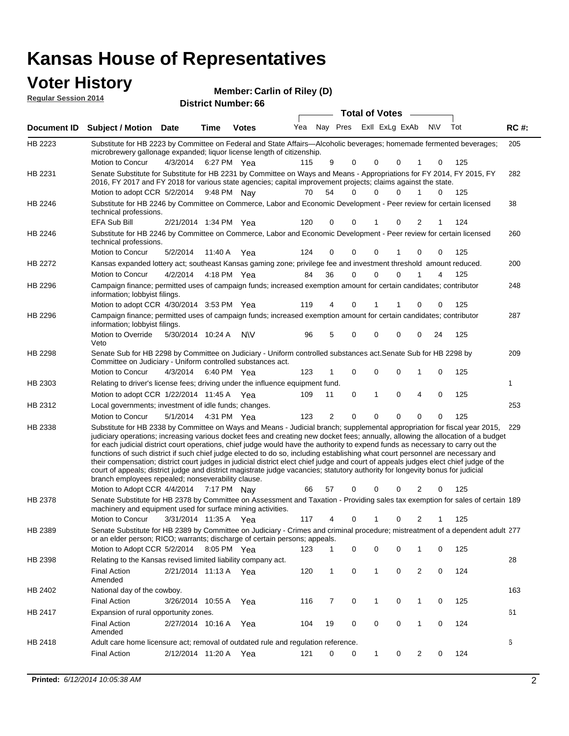#### **Voter History Regular Session 2014**

| noguidi ocoololi 4014 |                                                                                                                                                                                                                                                                                                                                                                                                                                                                                                                                                                                                                                                                                                                                                                                                                                                                                                                 |                       |             | <b>District Number: 66</b> |     |                         |                  |             |             |            |     |             |
|-----------------------|-----------------------------------------------------------------------------------------------------------------------------------------------------------------------------------------------------------------------------------------------------------------------------------------------------------------------------------------------------------------------------------------------------------------------------------------------------------------------------------------------------------------------------------------------------------------------------------------------------------------------------------------------------------------------------------------------------------------------------------------------------------------------------------------------------------------------------------------------------------------------------------------------------------------|-----------------------|-------------|----------------------------|-----|-------------------------|------------------|-------------|-------------|------------|-----|-------------|
|                       |                                                                                                                                                                                                                                                                                                                                                                                                                                                                                                                                                                                                                                                                                                                                                                                                                                                                                                                 |                       |             |                            |     |                         | Total of Votes - |             |             |            |     |             |
| Document ID           | <b>Subject / Motion Date</b>                                                                                                                                                                                                                                                                                                                                                                                                                                                                                                                                                                                                                                                                                                                                                                                                                                                                                    |                       | <b>Time</b> | <b>Votes</b>               | Yea | Nay Pres ExII ExLg ExAb |                  |             |             | <b>NIV</b> | Tot | <b>RC#:</b> |
| HB 2223               | Substitute for HB 2223 by Committee on Federal and State Affairs-Alcoholic beverages; homemade fermented beverages;<br>microbrewery gallonage expanded; liquor license length of citizenship.                                                                                                                                                                                                                                                                                                                                                                                                                                                                                                                                                                                                                                                                                                                   |                       |             |                            |     |                         |                  |             |             |            |     | 205         |
|                       | Motion to Concur                                                                                                                                                                                                                                                                                                                                                                                                                                                                                                                                                                                                                                                                                                                                                                                                                                                                                                | 4/3/2014              |             | 6:27 PM Yea                | 115 | 9                       | 0                | 0           | 0           | 0          | 125 |             |
| HB 2231               | Senate Substitute for Substitute for HB 2231 by Committee on Ways and Means - Appropriations for FY 2014, FY 2015, FY<br>2016, FY 2017 and FY 2018 for various state agencies; capital improvement projects; claims against the state.<br>Motion to adopt CCR 5/2/2014                                                                                                                                                                                                                                                                                                                                                                                                                                                                                                                                                                                                                                          |                       |             | 9:48 PM Nay                | 70  | 54                      | $\Omega$         | 0           | 0           | 1<br>0     | 125 | 282         |
| HB 2246               | Substitute for HB 2246 by Committee on Commerce, Labor and Economic Development - Peer review for certain licensed                                                                                                                                                                                                                                                                                                                                                                                                                                                                                                                                                                                                                                                                                                                                                                                              |                       |             |                            |     |                         |                  |             |             |            |     | 38          |
|                       | technical professions.<br><b>EFA Sub Bill</b>                                                                                                                                                                                                                                                                                                                                                                                                                                                                                                                                                                                                                                                                                                                                                                                                                                                                   | 2/21/2014 1:34 PM Yea |             |                            | 120 | 0                       | 0                | 1           | 0           | 2<br>1     | 124 |             |
|                       | Substitute for HB 2246 by Committee on Commerce, Labor and Economic Development - Peer review for certain licensed                                                                                                                                                                                                                                                                                                                                                                                                                                                                                                                                                                                                                                                                                                                                                                                              |                       |             |                            |     |                         |                  |             |             |            |     |             |
| HB 2246               | technical professions.                                                                                                                                                                                                                                                                                                                                                                                                                                                                                                                                                                                                                                                                                                                                                                                                                                                                                          |                       |             |                            |     |                         |                  |             |             |            |     | 260         |
|                       | Motion to Concur                                                                                                                                                                                                                                                                                                                                                                                                                                                                                                                                                                                                                                                                                                                                                                                                                                                                                                | 5/2/2014              |             | 11:40 A Yea                | 124 | 0                       | 0                | 0           |             | 0<br>0     | 125 |             |
| HB 2272               | Kansas expanded lottery act; southeast Kansas gaming zone; privilege fee and investment threshold amount reduced.                                                                                                                                                                                                                                                                                                                                                                                                                                                                                                                                                                                                                                                                                                                                                                                               |                       |             |                            |     |                         |                  |             |             |            |     | 200         |
|                       | <b>Motion to Concur</b>                                                                                                                                                                                                                                                                                                                                                                                                                                                                                                                                                                                                                                                                                                                                                                                                                                                                                         | 4/2/2014              |             | 4:18 PM Yea                | 84  | 36                      | $\mathbf 0$      | 0           | 0           | 4          | 125 |             |
| HB 2296               | Campaign finance; permitted uses of campaign funds; increased exemption amount for certain candidates; contributor<br>information; lobbyist filings.                                                                                                                                                                                                                                                                                                                                                                                                                                                                                                                                                                                                                                                                                                                                                            |                       |             |                            |     |                         |                  |             |             |            |     | 248         |
|                       | Motion to adopt CCR 4/30/2014 3:53 PM Yea                                                                                                                                                                                                                                                                                                                                                                                                                                                                                                                                                                                                                                                                                                                                                                                                                                                                       |                       |             |                            | 119 | 4                       | $\mathbf 0$      | 1           |             | 0<br>0     | 125 |             |
| HB 2296               | Campaign finance; permitted uses of campaign funds; increased exemption amount for certain candidates; contributor<br>information; lobbyist filings.                                                                                                                                                                                                                                                                                                                                                                                                                                                                                                                                                                                                                                                                                                                                                            |                       |             |                            |     |                         |                  |             |             |            |     | 287         |
|                       | Motion to Override<br>Veto                                                                                                                                                                                                                                                                                                                                                                                                                                                                                                                                                                                                                                                                                                                                                                                                                                                                                      | 5/30/2014 10:24 A     |             | <b>NV</b>                  | 96  | 5                       | 0                | $\mathbf 0$ | $\mathbf 0$ | 24<br>0    | 125 |             |
| HB 2298               | Senate Sub for HB 2298 by Committee on Judiciary - Uniform controlled substances act. Senate Sub for HB 2298 by<br>Committee on Judiciary - Uniform controlled substances act.                                                                                                                                                                                                                                                                                                                                                                                                                                                                                                                                                                                                                                                                                                                                  |                       |             |                            |     |                         |                  |             |             |            |     | 209         |
|                       | Motion to Concur                                                                                                                                                                                                                                                                                                                                                                                                                                                                                                                                                                                                                                                                                                                                                                                                                                                                                                | 4/3/2014              |             | 6:40 PM Yea                | 123 |                         | $\mathbf 0$      | $\mathbf 0$ | $\Omega$    | 0<br>1     | 125 |             |
| HB 2303               | Relating to driver's license fees; driving under the influence equipment fund.                                                                                                                                                                                                                                                                                                                                                                                                                                                                                                                                                                                                                                                                                                                                                                                                                                  |                       |             |                            |     |                         |                  |             |             |            |     | 1           |
|                       | Motion to adopt CCR 1/22/2014 11:45 A Yea                                                                                                                                                                                                                                                                                                                                                                                                                                                                                                                                                                                                                                                                                                                                                                                                                                                                       |                       |             |                            | 109 | 11                      | 0                | 1           | $\Omega$    | 4<br>0     | 125 |             |
| HB 2312               | Local governments; investment of idle funds; changes.                                                                                                                                                                                                                                                                                                                                                                                                                                                                                                                                                                                                                                                                                                                                                                                                                                                           |                       |             |                            |     |                         |                  |             |             |            |     | 253         |
|                       | Motion to Concur                                                                                                                                                                                                                                                                                                                                                                                                                                                                                                                                                                                                                                                                                                                                                                                                                                                                                                | 5/1/2014              |             | 4:31 PM Yea                | 123 | $\overline{2}$          | $\Omega$         | $\Omega$    | $\Omega$    | 0<br>0     | 125 |             |
| HB 2338               | Substitute for HB 2338 by Committee on Ways and Means - Judicial branch; supplemental appropriation for fiscal year 2015,<br>judiciary operations; increasing various docket fees and creating new docket fees; annually, allowing the allocation of a budget<br>for each judicial district court operations, chief judge would have the authority to expend funds as necessary to carry out the<br>functions of such district if such chief judge elected to do so, including establishing what court personnel are necessary and<br>their compensation; district court judges in judicial district elect chief judge and court of appeals judges elect chief judge of the<br>court of appeals; district judge and district magistrate judge vacancies; statutory authority for longevity bonus for judicial<br>branch employees repealed; nonseverability clause.<br>Motion to Adopt CCR 4/4/2014 7:17 PM Nay |                       |             |                            | 66  | 57                      | $\Omega$         | 0           | 0           | 2<br>0     | 125 | 229         |
| HB 2378               | Senate Substitute for HB 2378 by Committee on Assessment and Taxation - Providing sales tax exemption for sales of certain 189                                                                                                                                                                                                                                                                                                                                                                                                                                                                                                                                                                                                                                                                                                                                                                                  |                       |             |                            |     |                         |                  |             |             |            |     |             |
|                       | machinery and equipment used for surface mining activities.                                                                                                                                                                                                                                                                                                                                                                                                                                                                                                                                                                                                                                                                                                                                                                                                                                                     |                       |             |                            |     |                         |                  |             |             |            |     |             |
|                       | Motion to Concur                                                                                                                                                                                                                                                                                                                                                                                                                                                                                                                                                                                                                                                                                                                                                                                                                                                                                                | 3/31/2014 11:35 A     |             | Yea                        | 117 | 4                       | 0                | 1           | 0           | 2          | 125 |             |
| HB 2389               | Senate Substitute for HB 2389 by Committee on Judiciary - Crimes and criminal procedure; mistreatment of a dependent adult 277<br>or an elder person; RICO; warrants; discharge of certain persons; appeals.<br>Motion to Adopt CCR 5/2/2014 8:05 PM Yea                                                                                                                                                                                                                                                                                                                                                                                                                                                                                                                                                                                                                                                        |                       |             |                            | 123 |                         | 0                | 0           | 0           | 0<br>1     | 125 |             |
| HB 2398               | Relating to the Kansas revised limited liability company act.                                                                                                                                                                                                                                                                                                                                                                                                                                                                                                                                                                                                                                                                                                                                                                                                                                                   |                       |             |                            |     |                         |                  |             |             |            |     | 28          |
|                       | <b>Final Action</b><br>Amended                                                                                                                                                                                                                                                                                                                                                                                                                                                                                                                                                                                                                                                                                                                                                                                                                                                                                  | 2/21/2014 11:13 A Yea |             |                            | 120 | 1                       | 0                | 1           | 0           | 2<br>0     | 124 |             |
| HB 2402               | National day of the cowboy.                                                                                                                                                                                                                                                                                                                                                                                                                                                                                                                                                                                                                                                                                                                                                                                                                                                                                     |                       |             |                            |     |                         |                  |             |             |            |     | 163         |
|                       | <b>Final Action</b>                                                                                                                                                                                                                                                                                                                                                                                                                                                                                                                                                                                                                                                                                                                                                                                                                                                                                             | 3/26/2014 10:55 A     |             | Yea                        | 116 | 7                       | 0                | 1           | 0           | 1<br>0     | 125 |             |
| HB 2417               | Expansion of rural opportunity zones.                                                                                                                                                                                                                                                                                                                                                                                                                                                                                                                                                                                                                                                                                                                                                                                                                                                                           |                       |             |                            |     |                         |                  |             |             |            |     | 61          |
|                       | <b>Final Action</b><br>Amended                                                                                                                                                                                                                                                                                                                                                                                                                                                                                                                                                                                                                                                                                                                                                                                                                                                                                  | 2/27/2014 10:16 A     |             | Yea                        | 104 | 19                      | 0                | 0           | 0           | 0<br>1     | 124 |             |
| HB 2418               | Adult care home licensure act; removal of outdated rule and regulation reference.                                                                                                                                                                                                                                                                                                                                                                                                                                                                                                                                                                                                                                                                                                                                                                                                                               |                       |             |                            |     |                         |                  |             |             |            |     | 6           |
|                       | <b>Final Action</b>                                                                                                                                                                                                                                                                                                                                                                                                                                                                                                                                                                                                                                                                                                                                                                                                                                                                                             | 2/12/2014 11:20 A     |             | Yea                        | 121 | 0                       | 0                | 1           | 0           | 2<br>0     | 124 |             |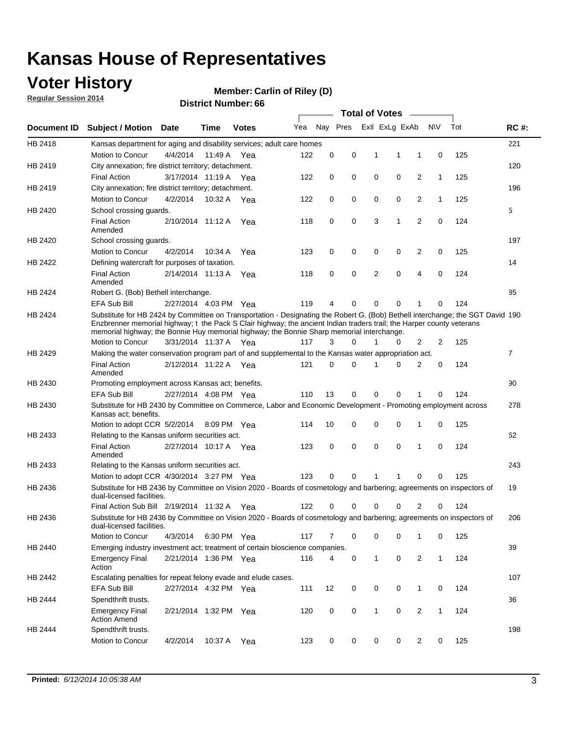### **Voter History**

**Regular Session 2014**

#### **Carlin of Riley (D)**

|                    |                                                                                                                                                                                                                                                                                                                                                      |                       |             | DISTRICT MAILINGL 00 |     |          |          |   | <b>Total of Votes</b> | $\sim$         |              |     |                |
|--------------------|------------------------------------------------------------------------------------------------------------------------------------------------------------------------------------------------------------------------------------------------------------------------------------------------------------------------------------------------------|-----------------------|-------------|----------------------|-----|----------|----------|---|-----------------------|----------------|--------------|-----|----------------|
| <b>Document ID</b> | <b>Subject / Motion</b>                                                                                                                                                                                                                                                                                                                              | Date                  | Time        | <b>Votes</b>         | Yea |          | Nay Pres |   | Exll ExLg ExAb        |                | <b>NV</b>    | Tot | <b>RC#:</b>    |
| HB 2418            | Kansas department for aging and disability services; adult care homes                                                                                                                                                                                                                                                                                |                       |             |                      |     |          |          |   |                       |                |              |     | 221            |
|                    | Motion to Concur                                                                                                                                                                                                                                                                                                                                     | 4/4/2014              | 11:49 A     | Yea                  | 122 | 0        | 0        | 1 | 1                     | 1              | 0            | 125 |                |
| HB 2419            | City annexation; fire district territory; detachment.                                                                                                                                                                                                                                                                                                |                       |             |                      |     |          |          |   |                       |                |              |     | 120            |
|                    | <b>Final Action</b>                                                                                                                                                                                                                                                                                                                                  | 3/17/2014 11:19 A Yea |             |                      | 122 | 0        | 0        | 0 | 0                     | 2              | $\mathbf{1}$ | 125 |                |
| HB 2419            | City annexation; fire district territory; detachment.                                                                                                                                                                                                                                                                                                |                       |             |                      |     |          |          |   |                       |                |              |     | 196            |
|                    | Motion to Concur                                                                                                                                                                                                                                                                                                                                     | 4/2/2014              | 10:32 A Yea |                      | 122 | 0        | 0        | 0 | 0                     | 2              | $\mathbf{1}$ | 125 |                |
| HB 2420            | School crossing guards.                                                                                                                                                                                                                                                                                                                              |                       |             |                      |     |          |          |   |                       |                |              |     | 5              |
|                    | <b>Final Action</b><br>Amended                                                                                                                                                                                                                                                                                                                       | 2/10/2014 11:12 A     |             | Yea                  | 118 | 0        | 0        | 3 | 1                     | $\overline{2}$ | 0            | 124 |                |
| HB 2420            | School crossing guards.                                                                                                                                                                                                                                                                                                                              |                       |             |                      |     |          |          |   |                       |                |              |     | 197            |
|                    | Motion to Concur                                                                                                                                                                                                                                                                                                                                     | 4/2/2014              | 10:34 A     | Yea                  | 123 | 0        | 0        | 0 | 0                     | 2              | 0            | 125 |                |
| HB 2422            | Defining watercraft for purposes of taxation.                                                                                                                                                                                                                                                                                                        |                       |             |                      |     |          |          |   |                       |                |              |     | 14             |
|                    | <b>Final Action</b><br>Amended                                                                                                                                                                                                                                                                                                                       | 2/14/2014 11:13 A     |             | Yea                  | 118 | 0        | 0        | 2 | $\mathbf 0$           | 4              | 0            | 124 |                |
| HB 2424            | Robert G. (Bob) Bethell interchange.                                                                                                                                                                                                                                                                                                                 |                       |             |                      |     |          |          |   |                       |                |              |     | 85             |
|                    | <b>EFA Sub Bill</b>                                                                                                                                                                                                                                                                                                                                  | 2/27/2014 4:03 PM Yea |             |                      | 119 | 4        | 0        | 0 | $\mathbf 0$           | 1              | 0            | 124 |                |
| HB 2424            | Substitute for HB 2424 by Committee on Transportation - Designating the Robert G. (Bob) Bethell interchange; the SGT David 190<br>Enzbrenner memorial highway; t the Pack S Clair highway; the ancient Indian traders trail; the Harper county veterans<br>memorial highway; the Bonnie Huy memorial highway; the Bonnie Sharp memorial interchange. |                       |             |                      |     |          |          |   |                       |                |              |     |                |
|                    | Motion to Concur                                                                                                                                                                                                                                                                                                                                     | 3/31/2014 11:37 A Yea |             |                      | 117 | 3        | $\Omega$ | 1 | 0                     | 2              | 2            | 125 |                |
| HB 2429            | Making the water conservation program part of and supplemental to the Kansas water appropriation act.                                                                                                                                                                                                                                                |                       |             |                      |     |          |          |   |                       |                |              |     | $\overline{7}$ |
|                    | <b>Final Action</b><br>Amended                                                                                                                                                                                                                                                                                                                       | 2/12/2014 11:22 A Yea |             |                      | 121 | $\Omega$ | 0        | 1 | $\Omega$              | 2              | 0            | 124 |                |
| HB 2430            | Promoting employment across Kansas act; benefits.                                                                                                                                                                                                                                                                                                    |                       |             |                      |     |          |          |   |                       |                |              |     | 90             |
|                    | <b>EFA Sub Bill</b>                                                                                                                                                                                                                                                                                                                                  | 2/27/2014 4:08 PM Yea |             |                      | 110 | 13       | 0        | 0 | 0                     | 1              | 0            | 124 |                |
| HB 2430            | Substitute for HB 2430 by Committee on Commerce, Labor and Economic Development - Promoting employment across                                                                                                                                                                                                                                        |                       |             |                      |     |          |          |   |                       |                |              |     | 278            |
|                    | Kansas act; benefits.<br>Motion to adopt CCR 5/2/2014                                                                                                                                                                                                                                                                                                |                       | 8:09 PM Yea |                      | 114 | 10       | 0        | 0 | 0                     | 1              | 0            | 125 |                |
| HB 2433            | Relating to the Kansas uniform securities act.                                                                                                                                                                                                                                                                                                       |                       |             |                      |     |          |          |   |                       |                |              |     | 62             |
|                    | <b>Final Action</b><br>Amended                                                                                                                                                                                                                                                                                                                       | 2/27/2014 10:17 A Yea |             |                      | 123 | 0        | 0        | 0 | $\mathbf 0$           | 1              | 0            | 124 |                |
| HB 2433            | Relating to the Kansas uniform securities act.                                                                                                                                                                                                                                                                                                       |                       |             |                      |     |          |          |   |                       |                |              |     | 243            |
|                    | Motion to adopt CCR 4/30/2014 3:27 PM Yea                                                                                                                                                                                                                                                                                                            |                       |             |                      | 123 | $\Omega$ | 0        | 1 | 1                     | 0              | 0            | 125 |                |
| HB 2436            | Substitute for HB 2436 by Committee on Vision 2020 - Boards of cosmetology and barbering; agreements on inspectors of<br>dual-licensed facilities.                                                                                                                                                                                                   |                       |             |                      |     |          |          |   |                       |                |              |     | 19             |
|                    | Final Action Sub Bill 2/19/2014 11:32 A                                                                                                                                                                                                                                                                                                              |                       |             | Yea                  | 122 | O        | 0        | 0 | 0                     | 2              | 0            | 124 |                |
| HB 2436            | Substitute for HB 2436 by Committee on Vision 2020 - Boards of cosmetology and barbering; agreements on inspectors of<br>dual-licensed facilities.                                                                                                                                                                                                   |                       |             |                      |     |          |          |   |                       |                |              |     | 206            |
|                    | <b>Motion to Concur</b>                                                                                                                                                                                                                                                                                                                              | 4/3/2014              | 6:30 PM Yea |                      | 117 | 7        | 0        | 0 | 0                     | 1              | 0            | 125 |                |
| HB 2440            | Emerging industry investment act; treatment of certain bioscience companies.                                                                                                                                                                                                                                                                         |                       |             |                      |     |          |          |   |                       |                |              |     | 39             |
|                    | <b>Emergency Final</b><br>Action                                                                                                                                                                                                                                                                                                                     | 2/21/2014 1:36 PM Yea |             |                      | 116 | 4        | 0        | 1 | 0                     | 2              | $\mathbf{1}$ | 124 |                |
| HB 2442            | Escalating penalties for repeat felony evade and elude cases.                                                                                                                                                                                                                                                                                        |                       |             |                      |     |          |          |   |                       |                |              |     | 107            |
|                    | EFA Sub Bill                                                                                                                                                                                                                                                                                                                                         | 2/27/2014 4:32 PM Yea |             |                      | 111 | 12       | 0        | 0 | 0                     | $\mathbf{1}$   | 0            | 124 |                |
| HB 2444            | Spendthrift trusts.                                                                                                                                                                                                                                                                                                                                  |                       |             |                      |     |          |          |   |                       |                |              |     | 36             |
|                    | <b>Emergency Final</b><br><b>Action Amend</b>                                                                                                                                                                                                                                                                                                        | 2/21/2014 1:32 PM Yea |             |                      | 120 | 0        | 0        | 1 | 0                     | $\overline{2}$ | $\mathbf{1}$ | 124 |                |
| HB 2444            | Spendthrift trusts.                                                                                                                                                                                                                                                                                                                                  |                       |             |                      |     |          |          |   |                       |                |              |     | 198            |
|                    | Motion to Concur                                                                                                                                                                                                                                                                                                                                     | 4/2/2014              | 10:37 A Yea |                      | 123 | 0        | 0        | 0 | 0                     | $\overline{2}$ | 0            | 125 |                |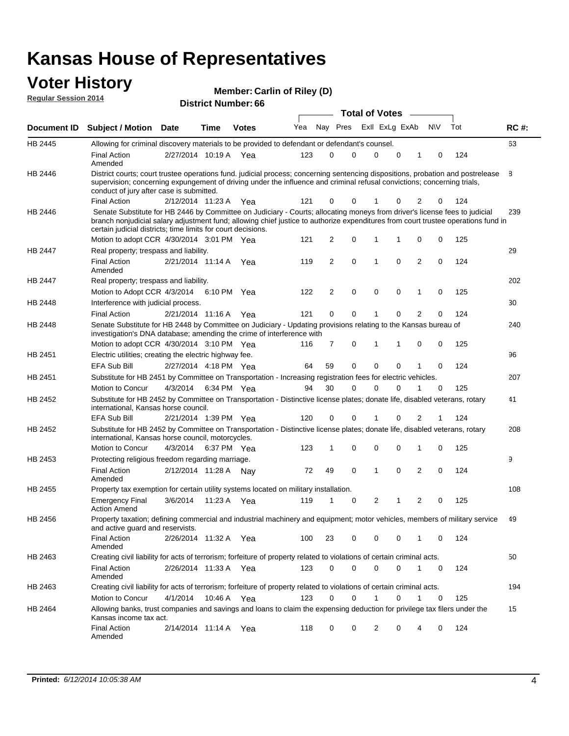#### **Voter History Regular Session 2014**

| Member: Carlin of Riley (D) |  |  |  |
|-----------------------------|--|--|--|
|-----------------------------|--|--|--|

| <b>District Number: 66</b> |  |
|----------------------------|--|

|                |                                                                                                                                                                                                                                                                                                                                 |                       |         |              |     |             | <b>Total of Votes</b>   |   |              |             | $\sim$         |     |     |             |
|----------------|---------------------------------------------------------------------------------------------------------------------------------------------------------------------------------------------------------------------------------------------------------------------------------------------------------------------------------|-----------------------|---------|--------------|-----|-------------|-------------------------|---|--------------|-------------|----------------|-----|-----|-------------|
|                | Document ID Subject / Motion Date                                                                                                                                                                                                                                                                                               |                       | Time    | <b>Votes</b> | Yea |             | Nay Pres ExII ExLg ExAb |   |              |             |                | N\V | Tot | <b>RC#:</b> |
| <b>HB 2445</b> | Allowing for criminal discovery materials to be provided to defendant or defendant's counsel.                                                                                                                                                                                                                                   |                       |         |              |     |             |                         |   |              |             |                |     |     | 63          |
|                | <b>Final Action</b><br>Amended                                                                                                                                                                                                                                                                                                  | 2/27/2014 10:19 A     |         | Yea          | 123 | 0           | 0                       |   | $\mathbf 0$  | 0           | 1              | 0   | 124 |             |
| HB 2446        | District courts; court trustee operations fund. judicial process; concerning sentencing dispositions, probation and postrelease<br>supervision; concerning expungement of driving under the influence and criminal refusal convictions; concerning trials,<br>conduct of jury after case is submitted.                          |                       |         |              |     |             |                         |   |              |             |                |     |     | 8           |
|                | <b>Final Action</b>                                                                                                                                                                                                                                                                                                             | 2/12/2014 11:23 A Yea |         |              | 121 | 0           | 0                       | 1 |              | 0           | 2              | 0   | 124 |             |
| HB 2446        | Senate Substitute for HB 2446 by Committee on Judiciary - Courts; allocating moneys from driver's license fees to judicial<br>branch nonjudicial salary adjustment fund; allowing chief justice to authorize expenditures from court trustee operations fund in<br>certain judicial districts; time limits for court decisions. |                       |         |              |     |             |                         |   |              |             |                |     |     | 239         |
|                | Motion to adopt CCR 4/30/2014 3:01 PM Yea                                                                                                                                                                                                                                                                                       |                       |         |              | 121 | 2           | 0                       | 1 |              | 1           | 0              | 0   | 125 |             |
| HB 2447        | Real property; trespass and liability.                                                                                                                                                                                                                                                                                          |                       |         |              |     |             |                         |   |              |             |                |     |     | 29          |
|                | <b>Final Action</b><br>Amended                                                                                                                                                                                                                                                                                                  | 2/21/2014 11:14 A Yea |         |              | 119 | 2           | $\mathbf 0$             | 1 |              | 0           | 2              | 0   | 124 |             |
| HB 2447        | Real property; trespass and liability.                                                                                                                                                                                                                                                                                          |                       |         |              |     |             |                         |   |              |             |                |     |     | 202         |
|                | Motion to Adopt CCR 4/3/2014                                                                                                                                                                                                                                                                                                    |                       |         | 6:10 PM Yea  | 122 | 2           | $\mathbf 0$             |   | $\mathbf 0$  | 0           | 1              | 0   | 125 |             |
| HB 2448        | Interference with judicial process.                                                                                                                                                                                                                                                                                             |                       |         |              |     |             |                         |   |              |             |                |     |     | 30          |
|                | <b>Final Action</b>                                                                                                                                                                                                                                                                                                             | 2/21/2014 11:16 A     |         | Yea          | 121 | $\mathbf 0$ | 0                       | 1 |              | 0           | $\overline{2}$ | 0   | 124 |             |
| HB 2448        | Senate Substitute for HB 2448 by Committee on Judiciary - Updating provisions relating to the Kansas bureau of<br>investigation's DNA database; amending the crime of interference with                                                                                                                                         |                       |         |              |     |             |                         |   |              |             |                |     |     | 240         |
|                | Motion to adopt CCR 4/30/2014 3:10 PM Yea                                                                                                                                                                                                                                                                                       |                       |         |              | 116 | 7           | $\mathbf 0$             | 1 |              | 1           | 0              | 0   | 125 |             |
| HB 2451        | Electric utilities; creating the electric highway fee.                                                                                                                                                                                                                                                                          |                       |         |              |     |             |                         |   |              |             |                |     |     | 96          |
|                | <b>EFA Sub Bill</b>                                                                                                                                                                                                                                                                                                             | 2/27/2014 4:18 PM Yea |         |              | 64  | 59          | 0                       |   | $\mathbf 0$  | 0           | 1              | 0   | 124 |             |
| HB 2451        | Substitute for HB 2451 by Committee on Transportation - Increasing registration fees for electric vehicles.                                                                                                                                                                                                                     |                       |         |              |     |             |                         |   |              |             |                |     |     | 207         |
|                | Motion to Concur                                                                                                                                                                                                                                                                                                                | 4/3/2014              |         | 6:34 PM Yea  | 94  | 30          | 0                       |   | $\Omega$     | 0           | 1              | 0   | 125 |             |
| HB 2452        | Substitute for HB 2452 by Committee on Transportation - Distinctive license plates; donate life, disabled veterans, rotary<br>international, Kansas horse council.                                                                                                                                                              |                       |         |              |     |             |                         |   |              |             |                |     |     | 41          |
|                | <b>EFA Sub Bill</b>                                                                                                                                                                                                                                                                                                             | 2/21/2014 1:39 PM Yea |         |              | 120 | 0           | 0                       | 1 |              | 0           | 2              | 1   | 124 |             |
| HB 2452        | Substitute for HB 2452 by Committee on Transportation - Distinctive license plates; donate life, disabled veterans, rotary<br>international, Kansas horse council, motorcycles.                                                                                                                                                 |                       |         |              |     |             |                         |   |              |             |                |     |     | 208         |
|                | Motion to Concur                                                                                                                                                                                                                                                                                                                | 4/3/2014              |         | 6:37 PM Yea  | 123 | 1           | $\mathbf 0$             |   | $\mathbf 0$  | $\mathbf 0$ | 1              | 0   | 125 |             |
| HB 2453        | Protecting religious freedom regarding marriage.                                                                                                                                                                                                                                                                                |                       |         |              |     |             |                         |   |              |             |                |     |     | 9           |
|                | <b>Final Action</b><br>Amended                                                                                                                                                                                                                                                                                                  | 2/12/2014 11:28 A     |         | Nay          | 72  | 49          | $\mathbf 0$             |   | $\mathbf{1}$ | 0           | 2              | 0   | 124 |             |
| HB 2455        | Property tax exemption for certain utility systems located on military installation.                                                                                                                                                                                                                                            |                       |         |              |     |             |                         |   |              |             |                |     |     | 108         |
|                | <b>Emergency Final</b><br><b>Action Amend</b>                                                                                                                                                                                                                                                                                   | 3/6/2014              | 11:23 A | Yea          | 119 | 1           | 0                       |   | 2            | 1           | 2              | 0   | 125 |             |
| HB 2456        | Property taxation; defining commercial and industrial machinery and equipment; motor vehicles, members of military service<br>and active guard and reservists.                                                                                                                                                                  |                       |         |              |     |             |                         |   |              |             |                |     |     | 49          |
|                | <b>Final Action</b><br>Amended                                                                                                                                                                                                                                                                                                  | 2/26/2014 11:32 A Yea |         |              | 100 | 23          | 0                       |   | 0            | 0           | 1              | 0   | 124 |             |
| HB 2463        | Creating civil liability for acts of terrorism; forfeiture of property related to violations of certain criminal acts.                                                                                                                                                                                                          |                       |         |              |     |             |                         |   |              |             |                |     |     | 50          |
|                | <b>Final Action</b><br>Amended                                                                                                                                                                                                                                                                                                  | 2/26/2014 11:33 A Yea |         |              | 123 | 0           | 0                       |   | $\mathbf 0$  | 0           | $\mathbf{1}$   | 0   | 124 |             |
| HB 2463        | Creating civil liability for acts of terrorism; forfeiture of property related to violations of certain criminal acts.                                                                                                                                                                                                          |                       |         |              |     |             |                         |   |              |             |                |     |     | 194         |
|                | Motion to Concur                                                                                                                                                                                                                                                                                                                | 4/1/2014              |         | 10:46 A Yea  | 123 | 0           | 0                       |   | $\mathbf{1}$ | 0           | $\mathbf{1}$   | 0   | 125 |             |
| HB 2464        | Allowing banks, trust companies and savings and loans to claim the expensing deduction for privilege tax filers under the<br>Kansas income tax act.                                                                                                                                                                             |                       |         |              |     |             |                         |   |              |             |                |     |     | 15          |
|                | <b>Final Action</b><br>Amended                                                                                                                                                                                                                                                                                                  | 2/14/2014 11:14 A Yea |         |              | 118 | 0           | 0                       |   | 2            | 0           | 4              | 0   | 124 |             |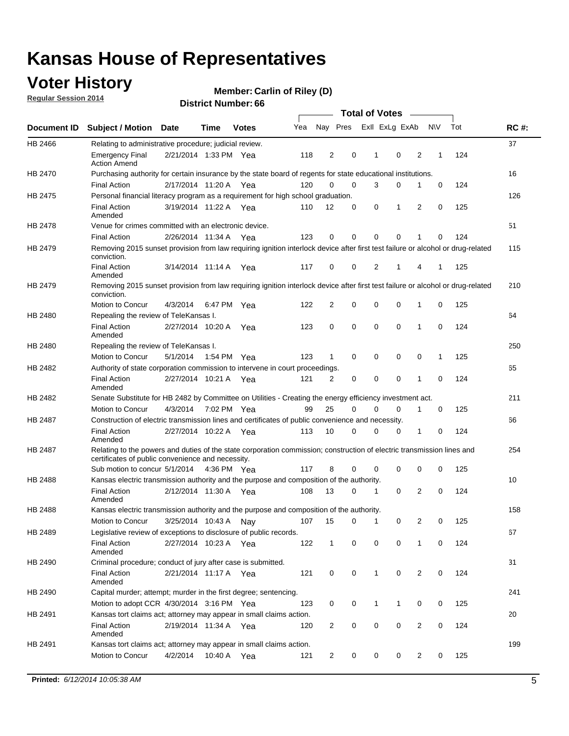### **Voter History**

**Regular Session 2014**

#### **Carlin of Riley (D)**

|                |                                                                                                                                                                             |                       |      |              |     |                |             |   | <b>Total of Votes</b> |             |                |             |     |             |
|----------------|-----------------------------------------------------------------------------------------------------------------------------------------------------------------------------|-----------------------|------|--------------|-----|----------------|-------------|---|-----------------------|-------------|----------------|-------------|-----|-------------|
|                | Document ID Subject / Motion Date                                                                                                                                           |                       | Time | <b>Votes</b> | Yea |                | Nay Pres    |   | Exll ExLg ExAb        |             |                | N\V         | Tot | <b>RC#:</b> |
| HB 2466        | Relating to administrative procedure; judicial review.                                                                                                                      |                       |      |              |     |                |             |   |                       |             |                |             |     | 37          |
|                | <b>Emergency Final</b><br><b>Action Amend</b>                                                                                                                               | 2/21/2014 1:33 PM Yea |      |              | 118 | 2              | 0           |   | 1                     | 0           | 2              | 1           | 124 |             |
| HB 2470        | Purchasing authority for certain insurance by the state board of regents for state educational institutions.                                                                |                       |      |              |     |                |             |   |                       |             |                |             |     | 16          |
|                | <b>Final Action</b>                                                                                                                                                         | 2/17/2014 11:20 A Yea |      |              | 120 | 0              | 0           |   | 3                     | $\mathbf 0$ | 1              | 0           | 124 |             |
| HB 2475        | Personal financial literacy program as a requirement for high school graduation.                                                                                            |                       |      |              |     |                |             |   |                       |             |                |             |     | 126         |
|                | <b>Final Action</b><br>Amended                                                                                                                                              | 3/19/2014 11:22 A Yea |      |              | 110 | 12             | 0           |   | 0                     | 1           | 2              | 0           | 125 |             |
| HB 2478        | Venue for crimes committed with an electronic device.                                                                                                                       |                       |      |              |     |                |             |   |                       |             |                |             |     | 51          |
|                | <b>Final Action</b>                                                                                                                                                         | 2/26/2014 11:34 A     |      | Yea          | 123 | 0              | 0           |   | $\Omega$              | $\mathbf 0$ | 1              | 0           | 124 |             |
| HB 2479        | Removing 2015 sunset provision from law requiring ignition interlock device after first test failure or alcohol or drug-related<br>conviction.                              |                       |      |              |     |                |             |   |                       |             |                |             |     | 115         |
|                | <b>Final Action</b><br>Amended                                                                                                                                              | 3/14/2014 11:14 A     |      | Yea          | 117 | 0              | 0           |   | 2                     | 1           | 4              | 1           | 125 |             |
| HB 2479        | Removing 2015 sunset provision from law requiring ignition interlock device after first test failure or alcohol or drug-related<br>conviction.                              |                       |      |              |     |                |             |   |                       |             |                |             |     | 210         |
|                | Motion to Concur                                                                                                                                                            | 4/3/2014              |      | 6:47 PM Yea  | 122 | $\overline{2}$ | 0           |   | 0                     | $\mathbf 0$ | 1              | 0           | 125 |             |
| HB 2480        | Repealing the review of TeleKansas I.                                                                                                                                       |                       |      |              |     |                |             |   |                       |             |                |             |     | 64          |
|                | <b>Final Action</b><br>Amended                                                                                                                                              | 2/27/2014 10:20 A     |      | Yea          | 123 | 0              | 0           |   | $\mathbf 0$           | $\mathbf 0$ | 1              | 0           | 124 |             |
| HB 2480        | Repealing the review of TeleKansas I.                                                                                                                                       |                       |      |              |     |                |             |   |                       |             |                |             |     | 250         |
|                | Motion to Concur                                                                                                                                                            | 5/1/2014              |      | 1:54 PM Yea  | 123 | 1              | 0           |   | 0                     | 0           | 0              | 1           | 125 |             |
| HB 2482        | Authority of state corporation commission to intervene in court proceedings.                                                                                                |                       |      |              |     |                |             |   |                       |             |                |             |     | 65          |
|                | <b>Final Action</b><br>Amended                                                                                                                                              | 2/27/2014 10:21 A     |      | Yea          | 121 | 2              | 0           |   | 0                     | 0           | 1              | 0           | 124 |             |
| HB 2482        | Senate Substitute for HB 2482 by Committee on Utilities - Creating the energy efficiency investment act.                                                                    |                       |      |              |     |                |             |   |                       |             |                |             |     | 211         |
|                | Motion to Concur                                                                                                                                                            | 4/3/2014 7:02 PM Yea  |      |              | 99  | 25             | 0           |   | 0                     | $\mathbf 0$ | 1              | 0           | 125 |             |
| HB 2487        | Construction of electric transmission lines and certificates of public convenience and necessity.                                                                           |                       |      |              |     |                |             |   |                       |             |                |             |     | 66          |
|                | <b>Final Action</b><br>Amended                                                                                                                                              | 2/27/2014 10:22 A Yea |      |              | 113 | 10             | 0           |   | 0                     | 0           | 1              | 0           | 124 |             |
| HB 2487        | Relating to the powers and duties of the state corporation commission; construction of electric transmission lines and<br>certificates of public convenience and necessity. |                       |      |              |     |                |             |   |                       |             |                |             |     | 254         |
|                | Sub motion to concur 5/1/2014                                                                                                                                               |                       |      | 4:36 PM Yea  | 117 | 8              | 0           |   | 0                     | 0           | 0              | 0           | 125 |             |
| <b>HB 2488</b> | Kansas electric transmission authority and the purpose and composition of the authority.                                                                                    |                       |      |              |     |                |             |   |                       |             |                |             |     | 10          |
|                | <b>Final Action</b><br>Amended                                                                                                                                              | 2/12/2014 11:30 A     |      | Yea          | 108 | 13             | 0           |   | 1                     | 0           | 2              | 0           | 124 |             |
| HB 2488        | Kansas electric transmission authority and the purpose and composition of the authority.                                                                                    |                       |      |              |     |                |             |   |                       |             |                |             |     | 158         |
|                | Motion to Concur                                                                                                                                                            | 3/25/2014 10:43 A     |      | Nav          | 107 | 15             | 0           |   | 1                     | 0           | 2              | 0           | 125 |             |
| HB 2489        | Legislative review of exceptions to disclosure of public records.                                                                                                           |                       |      |              |     |                |             |   |                       |             |                |             |     | 67          |
|                | <b>Final Action</b><br>Amended                                                                                                                                              | 2/27/2014 10:23 A Yea |      |              | 122 | $\mathbf 1$    |             | 0 | 0                     | 0           | 1              | 0           | 124 |             |
| HB 2490        | Criminal procedure; conduct of jury after case is submitted.                                                                                                                |                       |      |              |     |                |             |   |                       |             |                |             |     | 31          |
|                | <b>Final Action</b><br>Amended                                                                                                                                              | 2/21/2014 11:17 A Yea |      |              | 121 | 0              | 0           |   | $\mathbf{1}$          | 0           | 2              | $\mathbf 0$ | 124 |             |
| HB 2490        | Capital murder; attempt; murder in the first degree; sentencing.                                                                                                            |                       |      |              |     |                |             |   |                       |             |                |             |     | 241         |
|                | Motion to adopt CCR 4/30/2014 3:16 PM Yea                                                                                                                                   |                       |      |              | 123 | 0              |             | 0 | $\mathbf{1}$          | 1           | 0              | 0           | 125 |             |
| HB 2491        | Kansas tort claims act; attorney may appear in small claims action.                                                                                                         |                       |      |              |     |                |             |   |                       |             |                |             |     | 20          |
|                | <b>Final Action</b><br>Amended                                                                                                                                              | 2/19/2014 11:34 A Yea |      |              | 120 | $\overline{2}$ |             | 0 | 0                     | 0           | $\overline{2}$ | 0           | 124 |             |
| HB 2491        | Kansas tort claims act; attorney may appear in small claims action.                                                                                                         |                       |      |              |     |                |             |   |                       |             |                |             |     | 199         |
|                | Motion to Concur                                                                                                                                                            | 4/2/2014              |      | 10:40 A Yea  | 121 | 2              | $\mathbf 0$ |   | 0                     | 0           | 2              | 0           | 125 |             |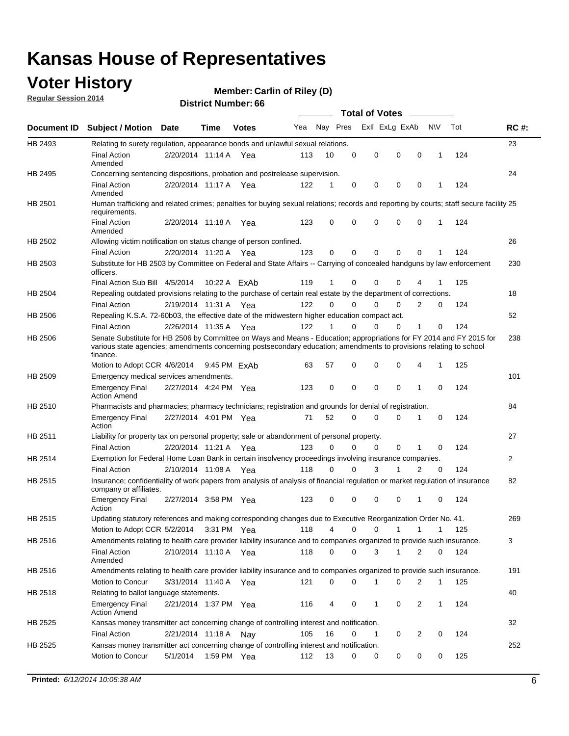### **Voter History**

**Regular Session 2014**

#### **Carlin of Riley (D)**

|             |                                                                                                                                                                                                                                                        |                       |              | <b>DISTRICT MAILINGL. 00</b> |     |             |          | Total of Votes – |                |                  |          |             |
|-------------|--------------------------------------------------------------------------------------------------------------------------------------------------------------------------------------------------------------------------------------------------------|-----------------------|--------------|------------------------------|-----|-------------|----------|------------------|----------------|------------------|----------|-------------|
| Document ID | <b>Subject / Motion Date</b>                                                                                                                                                                                                                           |                       | <b>Time</b>  | <b>Votes</b>                 | Yea |             | Nay Pres |                  | Exll ExLg ExAb | N\V              | Tot      | <b>RC#:</b> |
| HB 2493     | Relating to surety regulation, appearance bonds and unlawful sexual relations.                                                                                                                                                                         |                       |              |                              |     |             |          |                  |                |                  |          | 23          |
|             | <b>Final Action</b><br>Amended                                                                                                                                                                                                                         | 2/20/2014 11:14 A Yea |              |                              | 113 | 10          | 0        | $\mathbf 0$      | $\mathbf 0$    | $\mathbf 0$<br>1 | 124      |             |
| HB 2495     | Concerning sentencing dispositions, probation and postrelease supervision.                                                                                                                                                                             |                       |              |                              |     |             |          |                  |                |                  |          | 24          |
|             | <b>Final Action</b><br>Amended                                                                                                                                                                                                                         | 2/20/2014 11:17 A     |              | Yea                          | 122 | 1           | 0        | 0                | 0              | $\mathbf 0$<br>1 | 124      |             |
| HB 2501     | Human trafficking and related crimes; penalties for buying sexual relations; records and reporting by courts; staff secure facility 25<br>requirements.                                                                                                |                       |              |                              |     |             |          |                  |                |                  |          |             |
|             | <b>Final Action</b><br>Amended                                                                                                                                                                                                                         | 2/20/2014 11:18 A Yea |              |                              | 123 | 0           | 0        | 0                | $\Omega$       | $\Omega$<br>1    | 124      |             |
| HB 2502     | Allowing victim notification on status change of person confined.                                                                                                                                                                                      |                       |              |                              |     |             |          |                  |                |                  |          | 26          |
|             | <b>Final Action</b>                                                                                                                                                                                                                                    | 2/20/2014 11:20 A Yea |              |                              | 123 | $\Omega$    | 0        | 0                | 0              | 0                | 124      |             |
| HB 2503     | Substitute for HB 2503 by Committee on Federal and State Affairs -- Carrying of concealed handguns by law enforcement<br>officers.                                                                                                                     |                       |              |                              |     |             |          |                  |                |                  |          | 230         |
|             | Final Action Sub Bill 4/5/2014                                                                                                                                                                                                                         |                       | 10:22 A FxAb |                              | 119 | 1           | 0        | 0                | $\Omega$       |                  | 125      |             |
| HB 2504     | Repealing outdated provisions relating to the purchase of certain real estate by the department of corrections.                                                                                                                                        |                       |              |                              |     |             |          |                  |                |                  |          | 18          |
|             | <b>Final Action</b>                                                                                                                                                                                                                                    | 2/19/2014 11:31 A     |              | Yea                          | 122 | $\Omega$    | 0        | $\Omega$         | 0              | 2                | 124<br>0 |             |
| HB 2506     | Repealing K.S.A. 72-60b03, the effective date of the midwestern higher education compact act.                                                                                                                                                          |                       |              |                              |     |             |          |                  |                |                  |          | 52          |
|             | <b>Final Action</b>                                                                                                                                                                                                                                    | 2/26/2014 11:35 A Yea |              |                              | 122 | 1           | 0        | $\mathbf 0$      | 0              | 1                | 124<br>0 |             |
| HB 2506     | Senate Substitute for HB 2506 by Committee on Ways and Means - Education; appropriations for FY 2014 and FY 2015 for<br>various state agencies; amendments concerning postsecondary education; amendments to provisions relating to school<br>finance. |                       |              |                              |     |             |          |                  |                |                  |          | 238         |
|             | Motion to Adopt CCR 4/6/2014                                                                                                                                                                                                                           |                       | 9:45 PM FxAb |                              | 63  | 57          | 0        | 0                | 0              | 4<br>1           | 125      |             |
| HB 2509     | Emergency medical services amendments.                                                                                                                                                                                                                 |                       |              |                              |     |             |          |                  |                |                  |          | 101         |
|             | <b>Emergency Final</b><br><b>Action Amend</b>                                                                                                                                                                                                          | 2/27/2014 4:24 PM Yea |              |                              | 123 | $\mathbf 0$ | $\Omega$ | $\Omega$         | $\Omega$       | 1<br>$\Omega$    | 124      |             |
| HB 2510     | Pharmacists and pharmacies; pharmacy technicians; registration and grounds for denial of registration.                                                                                                                                                 |                       |              |                              |     |             |          |                  |                |                  |          | 84          |
|             | <b>Emergency Final</b><br>Action                                                                                                                                                                                                                       | 2/27/2014 4:01 PM Yea |              |                              | 71  | 52          | 0        | 0                | $\Omega$       | 0<br>1           | 124      |             |
| HB 2511     | Liability for property tax on personal property; sale or abandonment of personal property.                                                                                                                                                             |                       |              |                              |     |             |          |                  |                |                  |          | 27          |
|             | <b>Final Action</b>                                                                                                                                                                                                                                    | 2/20/2014 11:21 A Yea |              |                              | 123 | $\Omega$    | 0        | 0                | $\mathbf 0$    | 1<br>0           | 124      |             |
| HB 2514     | Exemption for Federal Home Loan Bank in certain insolvency proceedings involving insurance companies.                                                                                                                                                  |                       |              |                              |     |             |          |                  |                |                  |          | 2           |
|             | <b>Final Action</b>                                                                                                                                                                                                                                    | 2/10/2014 11:08 A     |              | Yea                          | 118 | $\Omega$    | 0        | 3                | 1              | $\overline{2}$   | 124<br>0 |             |
| HB 2515     | Insurance; confidentiality of work papers from analysis of analysis of financial regulation or market regulation of insurance<br>company or affiliates.                                                                                                |                       |              |                              |     |             |          |                  |                |                  |          | 82          |
|             | <b>Emergency Final</b><br>Action                                                                                                                                                                                                                       | 2/27/2014 3:58 PM Yea |              |                              | 123 | 0           | 0        | 0                | 0              | 1                | 124<br>0 |             |
| HB 2515     | Updating statutory references and making corresponding changes due to Executive Reorganization Order No. 41.                                                                                                                                           |                       |              |                              |     |             |          |                  |                |                  |          | 269         |
|             | Motion to Adopt CCR 5/2/2014 3:31 PM Yea                                                                                                                                                                                                               |                       |              |                              | 118 | 4           | 0        | 0                | 1              | 1<br>1           | 125      |             |
| HB 2516     | Amendments relating to health care provider liability insurance and to companies organized to provide such insurance.                                                                                                                                  |                       |              |                              |     |             |          |                  |                |                  |          | 3           |
|             | <b>Final Action</b><br>Amended                                                                                                                                                                                                                         | 2/10/2014 11:10 A Yea |              |                              | 118 | 0           | 0        | 3                | 1              | 2                | 124<br>0 |             |
| HB 2516     | Amendments relating to health care provider liability insurance and to companies organized to provide such insurance.                                                                                                                                  |                       |              |                              |     |             |          |                  |                |                  |          | 191         |
|             | Motion to Concur                                                                                                                                                                                                                                       | 3/31/2014 11:40 A Yea |              |                              | 121 | 0           | 0        | 1                | 0              | 2                | 1<br>125 |             |
| HB 2518     | Relating to ballot language statements.                                                                                                                                                                                                                |                       |              |                              |     |             |          |                  |                |                  |          | 40          |
|             | <b>Emergency Final</b><br><b>Action Amend</b>                                                                                                                                                                                                          | 2/21/2014 1:37 PM Yea |              |                              | 116 | 4           | 0        | 1                | 0              | 2                | 124<br>1 |             |
| HB 2525     | Kansas money transmitter act concerning change of controlling interest and notification.                                                                                                                                                               |                       |              |                              |     |             |          |                  |                |                  |          | 32          |
|             | <b>Final Action</b>                                                                                                                                                                                                                                    | 2/21/2014 11:18 A     |              | Nav                          | 105 | 16          | 0        | 1                | 0              | 2<br>0           | 124      |             |
| HB 2525     | Kansas money transmitter act concerning change of controlling interest and notification.                                                                                                                                                               |                       |              |                              |     |             |          |                  |                |                  |          | 252         |
|             | Motion to Concur                                                                                                                                                                                                                                       | 5/1/2014              | 1:59 PM Yea  |                              | 112 | 13          | 0        | 0                | 0              | 0<br>0           | 125      |             |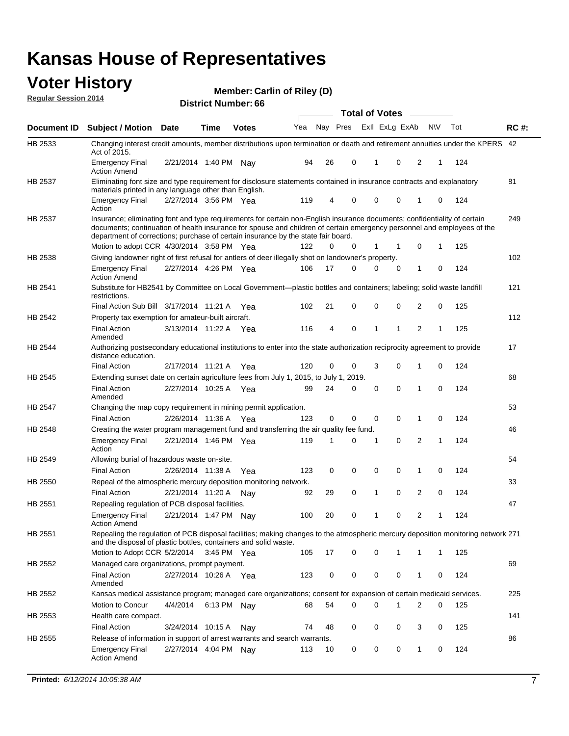#### **Voter History Regular Session 2014**

|  | <b>District Number: 66</b> |  |
|--|----------------------------|--|
|--|----------------------------|--|

|                    |                                                                                                                                                                                                                                                                                                                                           |                       |      |              |     |          |             | <b>Total of Votes</b> |             |                |           |     |             |
|--------------------|-------------------------------------------------------------------------------------------------------------------------------------------------------------------------------------------------------------------------------------------------------------------------------------------------------------------------------------------|-----------------------|------|--------------|-----|----------|-------------|-----------------------|-------------|----------------|-----------|-----|-------------|
| <b>Document ID</b> | <b>Subject / Motion Date</b>                                                                                                                                                                                                                                                                                                              |                       | Time | <b>Votes</b> | Yea | Nay Pres |             | Exll ExLg ExAb        |             |                | <b>NV</b> | Tot | <b>RC#:</b> |
| HB 2533            | Changing interest credit amounts, member distributions upon termination or death and retirement annuities under the KPERS 42<br>Act of 2015.                                                                                                                                                                                              |                       |      |              |     |          |             |                       |             |                |           |     |             |
|                    | <b>Emergency Final</b><br><b>Action Amend</b>                                                                                                                                                                                                                                                                                             | 2/21/2014 1:40 PM Nay |      |              | 94  | 26       | 0           | 1                     | 0           | 2              | 1         | 124 |             |
| HB 2537            | Eliminating font size and type requirement for disclosure statements contained in insurance contracts and explanatory<br>materials printed in any language other than English.                                                                                                                                                            |                       |      |              |     |          |             |                       |             |                |           |     | 81          |
|                    | <b>Emergency Final</b><br>Action                                                                                                                                                                                                                                                                                                          | 2/27/2014 3:56 PM Yea |      |              | 119 | 4        | 0           | 0                     | 0           | 1              | 0         | 124 |             |
| HB 2537            | Insurance; eliminating font and type requirements for certain non-English insurance documents; confidentiality of certain<br>documents; continuation of health insurance for spouse and children of certain emergency personnel and employees of the<br>department of corrections; purchase of certain insurance by the state fair board. |                       |      |              |     |          |             |                       |             |                |           |     | 249         |
|                    | Motion to adopt CCR 4/30/2014 3:58 PM Yea                                                                                                                                                                                                                                                                                                 |                       |      |              | 122 | 0        | 0           | 1                     | 1           | 0              | 1         | 125 |             |
| HB 2538            | Giving landowner right of first refusal for antlers of deer illegally shot on landowner's property.                                                                                                                                                                                                                                       |                       |      |              |     |          |             |                       |             |                |           |     | 102         |
|                    | Emergency Final<br><b>Action Amend</b>                                                                                                                                                                                                                                                                                                    | 2/27/2014 4:26 PM Yea |      |              | 106 | 17       | $\Omega$    | 0                     | 0           | 1              | 0         | 124 |             |
| HB 2541            | Substitute for HB2541 by Committee on Local Government—plastic bottles and containers; labeling; solid waste landfill<br>restrictions.                                                                                                                                                                                                    |                       |      |              |     |          |             |                       |             |                |           |     | 121         |
|                    | Final Action Sub Bill 3/17/2014 11:21 A Yea                                                                                                                                                                                                                                                                                               |                       |      |              | 102 | 21       | 0           | $\mathbf 0$           | $\Omega$    | 2              | 0         | 125 |             |
| HB 2542            | Property tax exemption for amateur-built aircraft.                                                                                                                                                                                                                                                                                        |                       |      |              |     |          |             |                       |             |                |           |     | 112         |
|                    | <b>Final Action</b><br>Amended                                                                                                                                                                                                                                                                                                            | 3/13/2014 11:22 A Yea |      |              | 116 | 4        | $\mathbf 0$ | $\mathbf{1}$          | 1           | $\overline{2}$ | 1         | 125 |             |
| HB 2544            | Authorizing postsecondary educational institutions to enter into the state authorization reciprocity agreement to provide<br>distance education.                                                                                                                                                                                          |                       |      |              |     |          |             |                       |             |                |           |     | 17          |
|                    | <b>Final Action</b>                                                                                                                                                                                                                                                                                                                       | 2/17/2014 11:21 A     |      | Yea          | 120 | 0        | 0           | 3                     | 0           | 1              | 0         | 124 |             |
| HB 2545            | Extending sunset date on certain agriculture fees from July 1, 2015, to July 1, 2019.                                                                                                                                                                                                                                                     |                       |      |              |     |          |             |                       |             |                |           |     | 68          |
|                    | <b>Final Action</b><br>Amended                                                                                                                                                                                                                                                                                                            | 2/27/2014 10:25 A     |      | Yea          | 99  | 24       | 0           | 0                     | 0           | 1              | 0         | 124 |             |
| HB 2547            | Changing the map copy requirement in mining permit application.                                                                                                                                                                                                                                                                           |                       |      |              |     |          |             |                       |             |                |           |     | 53          |
|                    | <b>Final Action</b>                                                                                                                                                                                                                                                                                                                       | 2/26/2014 11:36 A Yea |      |              | 123 | 0        | 0           | $\mathbf 0$           | 0           | 1              | 0         | 124 |             |
| HB 2548            | Creating the water program management fund and transferring the air quality fee fund.                                                                                                                                                                                                                                                     |                       |      |              |     |          |             |                       |             |                |           |     | 46          |
|                    | <b>Emergency Final</b><br>Action                                                                                                                                                                                                                                                                                                          | 2/21/2014 1:46 PM Yea |      |              | 119 | 1        | 0           | 1                     | $\mathbf 0$ | 2              | 1         | 124 |             |
| HB 2549            | Allowing burial of hazardous waste on-site.                                                                                                                                                                                                                                                                                               |                       |      |              |     |          |             |                       |             |                |           |     | 54          |
|                    | <b>Final Action</b>                                                                                                                                                                                                                                                                                                                       | 2/26/2014 11:38 A     |      | Yea          | 123 | 0        | 0           | 0                     | $\mathbf 0$ | 1              | 0         | 124 |             |
| HB 2550            | Repeal of the atmospheric mercury deposition monitoring network.                                                                                                                                                                                                                                                                          |                       |      |              |     |          |             |                       |             |                |           |     | 33          |
|                    | <b>Final Action</b>                                                                                                                                                                                                                                                                                                                       | 2/21/2014 11:20 A     |      | Nav          | 92  | 29       | 0           | 1                     | $\mathbf 0$ | $\overline{2}$ | 0         | 124 |             |
| HB 2551            | Repealing regulation of PCB disposal facilities.                                                                                                                                                                                                                                                                                          |                       |      |              |     |          |             |                       |             |                |           |     | 47          |
|                    | <b>Emergency Final</b><br><b>Action Amend</b>                                                                                                                                                                                                                                                                                             | 2/21/2014 1:47 PM Nay |      |              | 100 | 20       | 0           | 1                     | 0           | 2              | 1         | 124 |             |
| HB 2551            | Repealing the regulation of PCB disposal facilities; making changes to the atmospheric mercury deposition monitoring network 271<br>and the disposal of plastic bottles, containers and solid waste.                                                                                                                                      |                       |      |              |     |          |             |                       |             |                |           |     |             |
|                    | Motion to Adopt CCR 5/2/2014                                                                                                                                                                                                                                                                                                              |                       |      | 3:45 PM Yea  | 105 | 17       | 0           | 0                     | 1           | 1              | 1         | 125 |             |
| HB 2552            | Managed care organizations, prompt payment.                                                                                                                                                                                                                                                                                               |                       |      |              |     |          |             |                       |             |                |           |     | 69          |
|                    | Final Action<br>Amended                                                                                                                                                                                                                                                                                                                   | 2/27/2014 10:26 A Yea |      |              | 123 | 0        | 0           | 0                     | 0           | 1              | 0         | 124 |             |
| HB 2552            | Kansas medical assistance program; managed care organizations; consent for expansion of certain medicaid services.                                                                                                                                                                                                                        |                       |      |              |     |          |             |                       |             |                |           |     | 225         |
|                    | <b>Motion to Concur</b>                                                                                                                                                                                                                                                                                                                   | 4/4/2014              |      | 6:13 PM Nay  | 68  | 54       | 0           | 0                     | 1           | 2              | 0         | 125 |             |
| HB 2553            | Health care compact.                                                                                                                                                                                                                                                                                                                      |                       |      |              |     |          |             |                       |             |                |           |     | 141         |
|                    | <b>Final Action</b>                                                                                                                                                                                                                                                                                                                       | 3/24/2014 10:15 A     |      | Nav          | 74  | 48       | 0           | 0                     | 0           | 3              | 0         | 125 |             |
| HB 2555            | Release of information in support of arrest warrants and search warrants.                                                                                                                                                                                                                                                                 |                       |      |              |     |          |             |                       |             |                |           |     | 86          |
|                    | <b>Emergency Final</b>                                                                                                                                                                                                                                                                                                                    | 2/27/2014 4:04 PM Nay |      |              | 113 | 10       | 0           | 0                     | 0           | 1              | 0         | 124 |             |
|                    | <b>Action Amend</b>                                                                                                                                                                                                                                                                                                                       |                       |      |              |     |          |             |                       |             |                |           |     |             |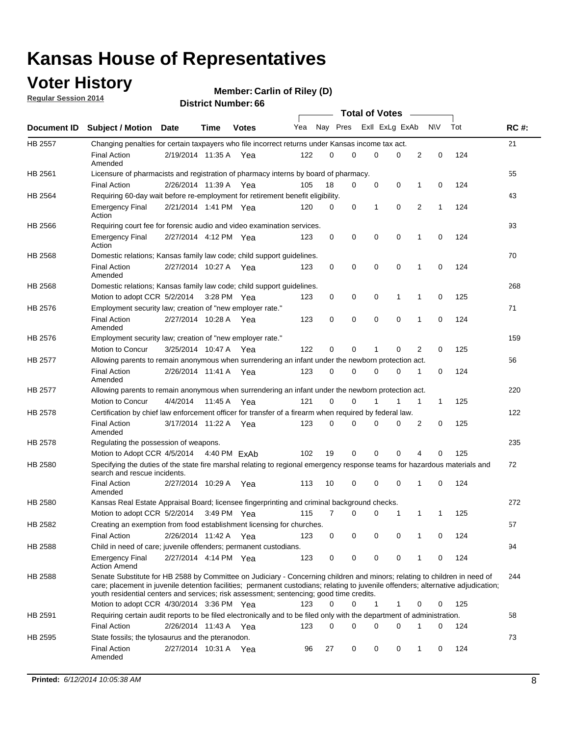### **Voter History**

**Regular Session 2014**

| <b>District Number: 66</b> |  |
|----------------------------|--|
|                            |  |

|                |                                                                                                                                                                                                                                                                                                                                                           |                       | ы юстанны с |              |     |          |          | <b>Total of Votes</b> |             | $\sim$         |              |     |             |
|----------------|-----------------------------------------------------------------------------------------------------------------------------------------------------------------------------------------------------------------------------------------------------------------------------------------------------------------------------------------------------------|-----------------------|-------------|--------------|-----|----------|----------|-----------------------|-------------|----------------|--------------|-----|-------------|
| Document ID    | <b>Subject / Motion Date</b>                                                                                                                                                                                                                                                                                                                              |                       | <b>Time</b> | <b>Votes</b> | Yea | Nay Pres |          | Exll ExLg ExAb        |             |                | N\V          | Tot | <b>RC#:</b> |
| HB 2557        | Changing penalties for certain taxpayers who file incorrect returns under Kansas income tax act.                                                                                                                                                                                                                                                          |                       |             |              |     |          |          |                       |             |                |              |     | 21          |
|                | <b>Final Action</b><br>Amended                                                                                                                                                                                                                                                                                                                            | 2/19/2014 11:35 A Yea |             |              | 122 | $\Omega$ | $\Omega$ | 0                     | $\mathbf 0$ | 2              | $\mathbf 0$  | 124 |             |
| HB 2561        | Licensure of pharmacists and registration of pharmacy interns by board of pharmacy.                                                                                                                                                                                                                                                                       |                       |             |              |     |          |          |                       |             |                |              |     | 55          |
|                | <b>Final Action</b>                                                                                                                                                                                                                                                                                                                                       | 2/26/2014 11:39 A     |             | Yea          | 105 | 18       | 0        | 0                     | 0           | 1              | 0            | 124 |             |
| HB 2564        | Requiring 60-day wait before re-employment for retirement benefit eligibility.                                                                                                                                                                                                                                                                            |                       |             |              |     |          |          |                       |             |                |              |     | 43          |
|                | <b>Emergency Final</b><br>Action                                                                                                                                                                                                                                                                                                                          | 2/21/2014 1:41 PM Yea |             |              | 120 | 0        | 0        | 1                     | 0           | 2              | $\mathbf{1}$ | 124 |             |
| HB 2566        | Requiring court fee for forensic audio and video examination services.                                                                                                                                                                                                                                                                                    |                       |             |              |     |          |          |                       |             |                |              |     | 93          |
|                | <b>Emergency Final</b><br>Action                                                                                                                                                                                                                                                                                                                          | 2/27/2014 4:12 PM Yea |             |              | 123 | 0        | 0        | 0                     | 0           | 1              | 0            | 124 |             |
| HB 2568        | Domestic relations; Kansas family law code; child support guidelines.                                                                                                                                                                                                                                                                                     |                       |             |              |     |          |          |                       |             |                |              |     | 70          |
|                | <b>Final Action</b><br>Amended                                                                                                                                                                                                                                                                                                                            | 2/27/2014 10:27 A Yea |             |              | 123 | 0        | 0        | $\mathbf 0$           | $\mathbf 0$ | $\mathbf{1}$   | 0            | 124 |             |
| <b>HB 2568</b> | Domestic relations; Kansas family law code; child support quidelines.                                                                                                                                                                                                                                                                                     |                       |             |              |     |          |          |                       |             |                |              |     | 268         |
|                | Motion to adopt CCR 5/2/2014                                                                                                                                                                                                                                                                                                                              |                       | 3:28 PM Yea |              | 123 | 0        | 0        | 0                     | 1           | 1              | 0            | 125 |             |
| HB 2576        | Employment security law; creation of "new employer rate."                                                                                                                                                                                                                                                                                                 |                       |             |              |     |          |          |                       |             |                |              |     | 71          |
|                | <b>Final Action</b><br>Amended                                                                                                                                                                                                                                                                                                                            | 2/27/2014 10:28 A Yea |             |              | 123 | 0        | 0        | 0                     | $\mathbf 0$ | 1              | $\mathbf 0$  | 124 |             |
| HB 2576        | Employment security law; creation of "new employer rate."                                                                                                                                                                                                                                                                                                 |                       |             |              |     |          |          |                       |             |                |              |     | 159         |
|                | Motion to Concur                                                                                                                                                                                                                                                                                                                                          | 3/25/2014 10:47 A     |             | Yea          | 122 | $\Omega$ | 0        | 1                     | $\Omega$    | $\overline{2}$ | 0            | 125 |             |
| HB 2577        | Allowing parents to remain anonymous when surrendering an infant under the newborn protection act.                                                                                                                                                                                                                                                        |                       |             |              |     |          |          |                       |             |                |              |     | 56          |
|                | <b>Final Action</b><br>Amended                                                                                                                                                                                                                                                                                                                            | 2/26/2014 11:41 A Yea |             |              | 123 | 0        | 0        | 0                     | 0           | 1              | 0            | 124 |             |
| HB 2577        | Allowing parents to remain anonymous when surrendering an infant under the newborn protection act.                                                                                                                                                                                                                                                        |                       |             |              |     |          |          |                       |             |                |              |     | 220         |
|                | Motion to Concur                                                                                                                                                                                                                                                                                                                                          | 4/4/2014              | 11:45 A     | Yea          | 121 | $\Omega$ | 0        |                       |             | 1              | $\mathbf{1}$ | 125 |             |
| HB 2578        | Certification by chief law enforcement officer for transfer of a firearm when required by federal law.                                                                                                                                                                                                                                                    |                       |             |              |     |          |          |                       |             |                |              |     | 122         |
|                | <b>Final Action</b><br>Amended                                                                                                                                                                                                                                                                                                                            | 3/17/2014 11:22 A Yea |             |              | 123 | 0        | 0        | 0                     | $\Omega$    | 2              | 0            | 125 |             |
| HB 2578        | Regulating the possession of weapons.                                                                                                                                                                                                                                                                                                                     |                       |             |              |     |          |          |                       |             |                |              |     | 235         |
|                | Motion to Adopt CCR 4/5/2014 4:40 PM ExAb                                                                                                                                                                                                                                                                                                                 |                       |             |              | 102 | 19       | 0        | 0                     | $\mathbf 0$ | 4              | 0            | 125 |             |
| <b>HB 2580</b> | Specifying the duties of the state fire marshal relating to regional emergency response teams for hazardous materials and<br>search and rescue incidents.                                                                                                                                                                                                 |                       |             |              |     |          |          |                       |             |                |              |     | 72          |
|                | <b>Final Action</b><br>Amended                                                                                                                                                                                                                                                                                                                            | 2/27/2014 10:29 A     |             | Yea          | 113 | 10       | 0        | 0                     | $\mathbf 0$ | 1              | 0            | 124 |             |
| HB 2580        | Kansas Real Estate Appraisal Board; licensee fingerprinting and criminal background checks.                                                                                                                                                                                                                                                               |                       |             |              |     |          |          |                       |             |                |              |     | 272         |
|                | Motion to adopt CCR 5/2/2014                                                                                                                                                                                                                                                                                                                              |                       | 3:49 PM Yea |              | 115 | 7        | 0        | 0                     | 1           | 1              | $\mathbf{1}$ | 125 |             |
| HB 2582        | Creating an exemption from food establishment licensing for churches.                                                                                                                                                                                                                                                                                     |                       |             |              |     |          |          |                       |             |                |              |     | 57          |
|                | <b>Final Action</b>                                                                                                                                                                                                                                                                                                                                       | 2/26/2014 11:42 A     |             | Yea          | 123 | 0        | 0        | 0                     | 0           | 1              | 0            | 124 |             |
| HB 2588        | Child in need of care; juvenile offenders; permanent custodians.                                                                                                                                                                                                                                                                                          |                       |             |              |     |          |          |                       |             |                |              |     | 94          |
|                | <b>Emergency Final</b><br><b>Action Amend</b>                                                                                                                                                                                                                                                                                                             | 2/27/2014 4:14 PM Yea |             |              | 123 | 0        | 0        | 0                     | 0           | 1              | 0            | 124 |             |
| HB 2588        | Senate Substitute for HB 2588 by Committee on Judiciary - Concerning children and minors; relating to children in need of<br>care; placement in juvenile detention facilities; permanent custodians; relating to juvenile offenders; alternative adjudication;<br>youth residential centers and services; risk assessment; sentencing; good time credits. |                       |             |              |     |          |          |                       |             |                |              |     | 244         |
|                | Motion to adopt CCR 4/30/2014 3:36 PM Yea                                                                                                                                                                                                                                                                                                                 |                       |             |              | 123 | 0        | 0        | 1                     | 1           | 0              | 0            | 125 |             |
| HB 2591        | Requiring certain audit reports to be filed electronically and to be filed only with the department of administration.                                                                                                                                                                                                                                    |                       |             |              |     |          |          |                       |             |                |              |     | 58          |
|                | <b>Final Action</b>                                                                                                                                                                                                                                                                                                                                       | 2/26/2014 11:43 A Yea |             |              | 123 | 0        | 0        | 0                     | 0           | 1              | 0            | 124 |             |
| HB 2595        | State fossils; the tylosaurus and the pteranodon.                                                                                                                                                                                                                                                                                                         |                       |             |              |     |          |          |                       |             |                |              |     | 73          |
|                | <b>Final Action</b><br>Amended                                                                                                                                                                                                                                                                                                                            | 2/27/2014 10:31 A     |             | Yea          | 96  | 27       | 0        | 0                     | 0           | 1              | 0            | 124 |             |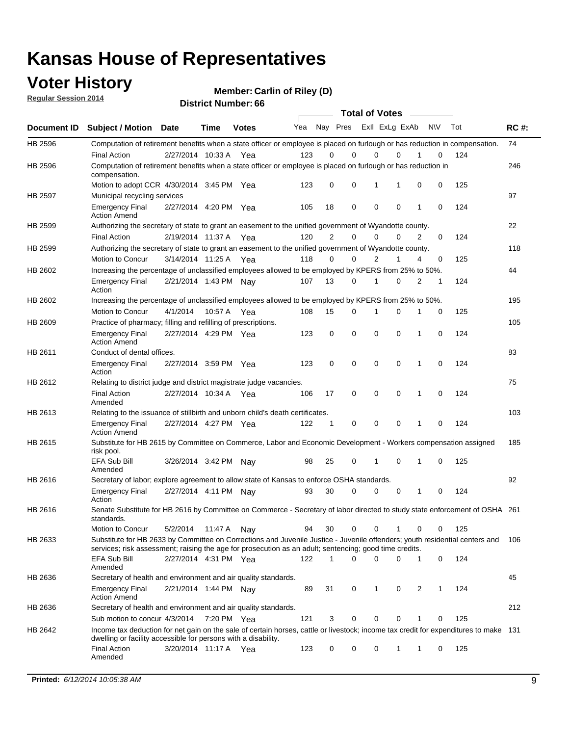### **Voter History**

**Regular Session 2014**

| <b>District Number: 66</b> |  |
|----------------------------|--|
|                            |  |

|         |                                                                                                                                                                                                                                       | <b>Total of Votes</b> |             |              |     |                |                         |             |              |   |           |     |             |
|---------|---------------------------------------------------------------------------------------------------------------------------------------------------------------------------------------------------------------------------------------|-----------------------|-------------|--------------|-----|----------------|-------------------------|-------------|--------------|---|-----------|-----|-------------|
|         | Document ID Subject / Motion Date                                                                                                                                                                                                     |                       | <b>Time</b> | <b>Votes</b> | Yea |                | Nay Pres Exll ExLg ExAb |             |              |   | <b>NV</b> | Tot | <b>RC#:</b> |
| HB 2596 | Computation of retirement benefits when a state officer or employee is placed on furlough or has reduction in compensation.                                                                                                           |                       |             |              |     |                |                         |             |              |   |           |     | 74          |
|         | <b>Final Action</b>                                                                                                                                                                                                                   | 2/27/2014 10:33 A     |             | Yea          | 123 | 0              | $\mathbf 0$             | 0           | $\mathbf{0}$ |   | 0         | 124 |             |
| HB 2596 | Computation of retirement benefits when a state officer or employee is placed on furlough or has reduction in<br>compensation.                                                                                                        |                       |             |              |     |                |                         |             |              |   |           |     | 246         |
|         | Motion to adopt CCR 4/30/2014 3:45 PM Yea                                                                                                                                                                                             |                       |             |              | 123 | 0              | 0                       | 1           | 1            | 0 | 0         | 125 |             |
| HB 2597 | Municipal recycling services                                                                                                                                                                                                          |                       |             |              |     |                |                         |             |              |   |           |     | 97          |
|         | <b>Emergency Final</b><br><b>Action Amend</b>                                                                                                                                                                                         | 2/27/2014 4:20 PM Yea |             |              | 105 | 18             | 0                       | $\mathbf 0$ | 0            | 1 | 0         | 124 |             |
| HB 2599 | Authorizing the secretary of state to grant an easement to the unified government of Wyandotte county.                                                                                                                                |                       |             |              |     |                |                         |             |              |   |           |     | 22          |
|         | <b>Final Action</b>                                                                                                                                                                                                                   | 2/19/2014 11:37 A     |             | Yea          | 120 | $\overline{2}$ | 0                       | 0           | 0            | 2 | 0         | 124 |             |
| HB 2599 | Authorizing the secretary of state to grant an easement to the unified government of Wyandotte county.                                                                                                                                |                       |             |              |     |                |                         |             |              |   |           |     | 118         |
|         | Motion to Concur                                                                                                                                                                                                                      | 3/14/2014 11:25 A Yea |             |              | 118 | 0              | 0                       | 2           | 1            | 4 | 0         | 125 |             |
| HB 2602 | Increasing the percentage of unclassified employees allowed to be employed by KPERS from 25% to 50%.                                                                                                                                  |                       |             |              |     |                |                         |             |              |   |           |     | 44          |
|         | <b>Emergency Final</b><br>Action                                                                                                                                                                                                      | 2/21/2014 1:43 PM Nay |             |              | 107 | 13             | 0                       | 1           | 0            | 2 | 1         | 124 |             |
| HB 2602 | Increasing the percentage of unclassified employees allowed to be employed by KPERS from 25% to 50%.                                                                                                                                  |                       |             |              |     |                |                         |             |              |   |           |     | 195         |
|         | Motion to Concur                                                                                                                                                                                                                      | 4/1/2014              | 10:57 A     | Yea          | 108 | 15             | 0                       | 1           | $\mathbf 0$  | 1 | 0         | 125 |             |
| HB 2609 | Practice of pharmacy; filling and refilling of prescriptions.                                                                                                                                                                         |                       |             |              |     |                |                         |             |              |   |           |     | 105         |
|         | <b>Emergency Final</b><br><b>Action Amend</b>                                                                                                                                                                                         | 2/27/2014 4:29 PM Yea |             |              | 123 | 0              | $\mathbf 0$             | $\mathbf 0$ | $\mathbf 0$  | 1 | 0         | 124 |             |
| HB 2611 | Conduct of dental offices.                                                                                                                                                                                                            |                       |             |              |     |                |                         |             |              |   |           |     | 83          |
|         | <b>Emergency Final</b><br>Action                                                                                                                                                                                                      | 2/27/2014 3:59 PM Yea |             |              | 123 | 0              | $\mathbf 0$             | $\mathbf 0$ | 0            | 1 | 0         | 124 |             |
| HB 2612 | Relating to district judge and district magistrate judge vacancies.                                                                                                                                                                   |                       |             |              |     |                |                         |             |              |   |           |     | 75          |
|         | <b>Final Action</b><br>Amended                                                                                                                                                                                                        | 2/27/2014 10:34 A     |             | Yea          | 106 | 17             | $\mathbf 0$             | $\mathbf 0$ | $\mathbf 0$  | 1 | 0         | 124 |             |
| HB 2613 | Relating to the issuance of stillbirth and unborn child's death certificates.                                                                                                                                                         |                       |             |              |     |                |                         |             |              |   |           |     | 103         |
|         | <b>Emergency Final</b><br><b>Action Amend</b>                                                                                                                                                                                         | 2/27/2014 4:27 PM Yea |             |              | 122 | $\mathbf{1}$   | $\mathbf 0$             | $\mathbf 0$ | $\Omega$     | 1 | 0         | 124 |             |
| HB 2615 | Substitute for HB 2615 by Committee on Commerce, Labor and Economic Development - Workers compensation assigned<br>risk pool.                                                                                                         |                       |             |              |     |                |                         |             |              |   |           |     | 185         |
|         | EFA Sub Bill<br>Amended                                                                                                                                                                                                               | 3/26/2014 3:42 PM Nay |             |              | 98  | 25             | 0                       | 1           | $\mathbf 0$  | 1 | 0         | 125 |             |
| HB 2616 | Secretary of labor; explore agreement to allow state of Kansas to enforce OSHA standards.                                                                                                                                             |                       |             |              |     |                |                         |             |              |   |           |     | 92          |
|         | <b>Emergency Final</b><br>Action                                                                                                                                                                                                      | 2/27/2014 4:11 PM Nay |             |              | 93  | 30             | 0                       | 0           | 0            | 1 | 0         | 124 |             |
| HB 2616 | Senate Substitute for HB 2616 by Committee on Commerce - Secretary of labor directed to study state enforcement of OSHA 261<br>standards.                                                                                             |                       |             |              |     |                |                         |             |              |   |           |     |             |
|         | Motion to Concur                                                                                                                                                                                                                      | 5/2/2014 11:47 A Nay  |             |              | 94  | 30             | $\mathbf 0$             | 0           | 1            | 0 | 0         | 125 |             |
| HB 2633 | Substitute for HB 2633 by Committee on Corrections and Juvenile Justice - Juvenile offenders; youth residential centers and<br>services; risk assessment; raising the age for prosecution as an adult; sentencing; good time credits. |                       |             |              |     |                |                         |             |              |   |           |     | 106         |
|         | EFA Sub Bill<br>Amended                                                                                                                                                                                                               | 2/27/2014 4:31 PM Yea |             |              | 122 | 1              | $\Omega$                | 0           | 0            | 1 | 0         | 124 |             |
| HB 2636 | Secretary of health and environment and air quality standards.                                                                                                                                                                        |                       |             |              |     |                |                         |             |              |   |           |     | 45          |
|         | <b>Emergency Final</b><br><b>Action Amend</b>                                                                                                                                                                                         | 2/21/2014 1:44 PM Nav |             |              | 89  | 31             | 0                       | 1           | 0            | 2 | 1         | 124 |             |
| HB 2636 | Secretary of health and environment and air quality standards.                                                                                                                                                                        |                       |             |              |     |                |                         |             |              |   |           |     | 212         |
|         | Sub motion to concur 4/3/2014                                                                                                                                                                                                         |                       | 7:20 PM Yea |              | 121 | 3              | 0                       | 0           | 0            |   | 0         | 125 |             |
| HB 2642 | Income tax deduction for net gain on the sale of certain horses, cattle or livestock; income tax credit for expenditures to make 131<br>dwelling or facility accessible for persons with a disability.                                |                       |             |              |     |                |                         |             |              |   |           |     |             |
|         | <b>Final Action</b><br>Amended                                                                                                                                                                                                        | 3/20/2014 11:17 A Yea |             |              | 123 | 0              | 0                       | 0           | 1            | 1 | 0         | 125 |             |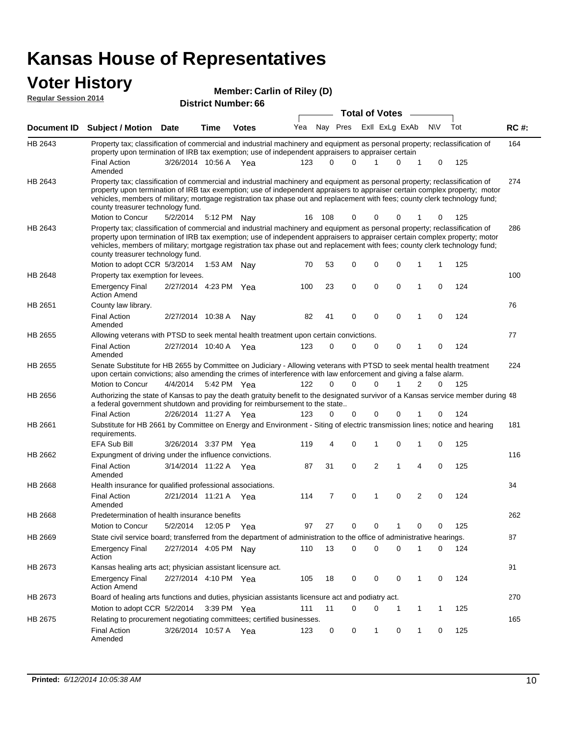# **Voter History Member: Regular Session 2014**

| <u>Regular Session zute</u> |                                                                                                                                                                                                                                                                                                                                                                                                                               |                       | <b>District Number: 66</b> | <b>Total of Votes</b> |     |          |          |    |             |                             |             |     |             |
|-----------------------------|-------------------------------------------------------------------------------------------------------------------------------------------------------------------------------------------------------------------------------------------------------------------------------------------------------------------------------------------------------------------------------------------------------------------------------|-----------------------|----------------------------|-----------------------|-----|----------|----------|----|-------------|-----------------------------|-------------|-----|-------------|
|                             |                                                                                                                                                                                                                                                                                                                                                                                                                               |                       |                            |                       |     |          |          |    |             |                             |             |     |             |
| Document ID                 | Subject / Motion Date                                                                                                                                                                                                                                                                                                                                                                                                         |                       | Time                       | <b>Votes</b>          | Yea |          | Nay Pres |    |             | Exll ExLg ExAb              | <b>NV</b>   | Tot | <b>RC#:</b> |
| HB 2643                     | Property tax; classification of commercial and industrial machinery and equipment as personal property; reclassification of<br>property upon termination of IRB tax exemption; use of independent appraisers to appraiser certain                                                                                                                                                                                             |                       |                            |                       |     |          |          |    |             |                             |             |     | 164         |
|                             | <b>Final Action</b><br>Amended                                                                                                                                                                                                                                                                                                                                                                                                | 3/26/2014 10:56 A Yea |                            |                       | 123 | 0        | $\Omega$ |    | 1           | 0<br>1                      | 0           | 125 |             |
| HB 2643                     | Property tax; classification of commercial and industrial machinery and equipment as personal property; reclassification of<br>property upon termination of IRB tax exemption; use of independent appraisers to appraiser certain complex property; motor<br>vehicles, members of military; mortgage registration tax phase out and replacement with fees; county clerk technology fund;<br>county treasurer technology fund. |                       |                            |                       |     |          |          |    |             |                             |             |     | 274         |
|                             | Motion to Concur                                                                                                                                                                                                                                                                                                                                                                                                              | 5/2/2014              |                            | 5:12 PM Nav           | 16  | - 108    | 0        |    | 0           | 0                           | 0           | 125 |             |
| HB 2643                     | Property tax; classification of commercial and industrial machinery and equipment as personal property; reclassification of<br>property upon termination of IRB tax exemption; use of independent appraisers to appraiser certain complex property; motor<br>vehicles, members of military; mortgage registration tax phase out and replacement with fees; county clerk technology fund;<br>county treasurer technology fund. |                       |                            |                       |     |          |          |    |             |                             |             |     | 286         |
|                             | Motion to adopt CCR 5/3/2014                                                                                                                                                                                                                                                                                                                                                                                                  |                       |                            | 1:53 AM Nay           | 70  | 53       | 0        |    | 0           | 0<br>1                      | 1           | 125 |             |
| HB 2648                     | Property tax exemption for levees.                                                                                                                                                                                                                                                                                                                                                                                            |                       |                            |                       |     |          |          |    |             |                             |             |     | 100         |
|                             | <b>Emergency Final</b><br><b>Action Amend</b>                                                                                                                                                                                                                                                                                                                                                                                 | 2/27/2014 4:23 PM Yea |                            |                       | 100 | 23       | 0        |    | 0           | 0<br>1                      | 0           | 124 |             |
| HB 2651                     | County law library.                                                                                                                                                                                                                                                                                                                                                                                                           |                       |                            |                       |     |          |          |    |             |                             |             |     | 76          |
|                             | <b>Final Action</b><br>Amended                                                                                                                                                                                                                                                                                                                                                                                                | 2/27/2014 10:38 A     |                            | Nav                   | 82  | 41       | 0        |    | $\mathbf 0$ | $\mathbf 0$<br>$\mathbf{1}$ | $\mathbf 0$ | 124 |             |
| <b>HB 2655</b>              | Allowing veterans with PTSD to seek mental health treatment upon certain convictions.                                                                                                                                                                                                                                                                                                                                         |                       |                            |                       |     |          |          |    |             |                             |             |     | 77          |
|                             | <b>Final Action</b><br>Amended                                                                                                                                                                                                                                                                                                                                                                                                | 2/27/2014 10:40 A     |                            | Yea                   | 123 | 0        | 0        |    | 0           | 0<br>1                      | $\mathbf 0$ | 124 |             |
| HB 2655                     | Senate Substitute for HB 2655 by Committee on Judiciary - Allowing veterans with PTSD to seek mental health treatment<br>upon certain convictions; also amending the crimes of interference with law enforcement and giving a false alarm.                                                                                                                                                                                    |                       |                            |                       |     |          |          |    |             |                             |             |     | 224         |
|                             | Motion to Concur                                                                                                                                                                                                                                                                                                                                                                                                              | 4/4/2014              |                            | 5:42 PM Yea           | 122 | $\Omega$ | $\Omega$ |    | $\Omega$    | 2<br>1                      | 0           | 125 |             |
| HB 2656                     | Authorizing the state of Kansas to pay the death gratuity benefit to the designated survivor of a Kansas service member during 48<br>a federal government shutdown and providing for reimbursement to the state                                                                                                                                                                                                               |                       |                            |                       |     |          |          |    |             |                             |             |     |             |
|                             | <b>Final Action</b>                                                                                                                                                                                                                                                                                                                                                                                                           | 2/26/2014 11:27 A Yea |                            |                       | 123 | 0        | 0        |    | $\Omega$    | 0<br>1                      | $\mathbf 0$ | 124 |             |
| HB 2661                     | Substitute for HB 2661 by Committee on Energy and Environment - Siting of electric transmission lines; notice and hearing<br>requirements.                                                                                                                                                                                                                                                                                    |                       |                            |                       |     |          |          |    |             |                             |             |     | 181         |
|                             | <b>EFA Sub Bill</b>                                                                                                                                                                                                                                                                                                                                                                                                           | 3/26/2014 3:37 PM Yea |                            |                       | 119 | 4        | 0        | -1 |             | 0<br>1                      | 0           | 125 |             |
| HB 2662                     | Expungment of driving under the influence convictions.                                                                                                                                                                                                                                                                                                                                                                        |                       |                            |                       |     |          |          |    |             |                             |             |     | 116         |
|                             | <b>Final Action</b><br>Amended                                                                                                                                                                                                                                                                                                                                                                                                | 3/14/2014 11:22 A Yea |                            |                       | 87  | 31       | 0        |    | 2           | 1<br>4                      | $\mathbf 0$ | 125 |             |
| HB 2668                     | Health insurance for qualified professional associations.                                                                                                                                                                                                                                                                                                                                                                     |                       |                            |                       |     |          |          |    |             |                             |             |     | 34          |
|                             | <b>Final Action</b><br>Amended                                                                                                                                                                                                                                                                                                                                                                                                | 2/21/2014 11:21 A Yea |                            |                       | 114 | 7        | 0        | -1 |             | 2<br>0                      | $\mathbf 0$ | 124 |             |
| HB 2668                     | Predetermination of health insurance benefits                                                                                                                                                                                                                                                                                                                                                                                 |                       |                            |                       |     |          |          |    |             |                             |             |     | 262         |
|                             | Motion to Concur                                                                                                                                                                                                                                                                                                                                                                                                              | 5/2/2014              |                            | 12:05 P Yea           | 97  | 27       | 0        |    | 0           | 0<br>1                      | 0           | 125 |             |
| HB 2669                     | State civil service board; transferred from the department of administration to the office of administrative hearings.                                                                                                                                                                                                                                                                                                        |                       |                            |                       |     |          |          |    |             |                             |             |     | 87          |
|                             | Emergency Final<br>Action                                                                                                                                                                                                                                                                                                                                                                                                     | 2/27/2014 4:05 PM Nay |                            |                       | 110 | 13       | 0        |    | $\mathbf 0$ | 0<br>1                      | 0           | 124 |             |
| HB 2673                     | Kansas healing arts act; physician assistant licensure act.                                                                                                                                                                                                                                                                                                                                                                   |                       |                            |                       |     |          |          |    |             |                             |             |     | 91          |
|                             | <b>Emergency Final</b><br><b>Action Amend</b>                                                                                                                                                                                                                                                                                                                                                                                 | 2/27/2014 4:10 PM Yea |                            |                       | 105 | 18       | 0        |    | 0           | 0<br>1                      | 0           | 124 |             |
| HB 2673                     | Board of healing arts functions and duties, physician assistants licensure act and podiatry act.                                                                                                                                                                                                                                                                                                                              |                       |                            |                       |     |          |          |    |             |                             |             |     | 270         |
|                             | Motion to adopt CCR 5/2/2014                                                                                                                                                                                                                                                                                                                                                                                                  |                       |                            | $3:39$ PM Yea         | 111 | 11       | 0        |    | 0           | 1<br>1                      | 1           | 125 |             |
| HB 2675                     | Relating to procurement negotiating committees; certified businesses.                                                                                                                                                                                                                                                                                                                                                         |                       |                            |                       |     |          |          |    |             |                             |             |     | 165         |
|                             | <b>Final Action</b><br>Amended                                                                                                                                                                                                                                                                                                                                                                                                | 3/26/2014 10:57 A Yea |                            |                       | 123 | 0        | 0        | 1  |             | 0<br>1                      | 0           | 125 |             |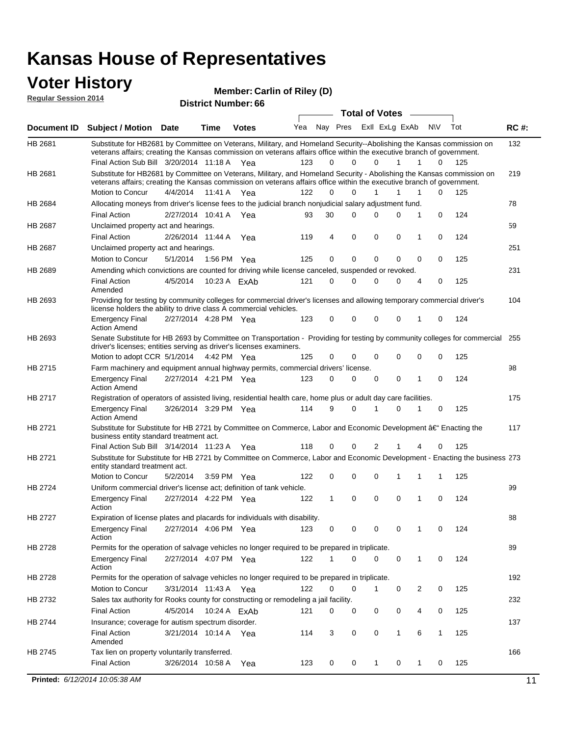### **Voter History**

**Regular Session 2014**

| noguidi ocoololi 4014 |                                                                                                                                                                                                                                                                                               |                       |             | <b>District Number: 66</b> |     |    |          |                         |              |   |              |     |             |
|-----------------------|-----------------------------------------------------------------------------------------------------------------------------------------------------------------------------------------------------------------------------------------------------------------------------------------------|-----------------------|-------------|----------------------------|-----|----|----------|-------------------------|--------------|---|--------------|-----|-------------|
|                       |                                                                                                                                                                                                                                                                                               |                       |             |                            |     |    |          | <b>Total of Votes</b>   |              |   |              |     |             |
| Document ID           | Subject / Motion Date                                                                                                                                                                                                                                                                         |                       | <b>Time</b> | <b>Votes</b>               | Yea |    |          | Nay Pres ExII ExLg ExAb |              |   | N\V          | Tot | <b>RC#:</b> |
| HB 2681               | Substitute for HB2681 by Committee on Veterans, Military, and Homeland Security--Abolishing the Kansas commission on<br>veterans affairs; creating the Kansas commission on veterans affairs office within the executive branch of government.<br>Final Action Sub Bill 3/20/2014 11:18 A Yea |                       |             |                            | 123 | 0  | $\Omega$ | $\Omega$                | 1            | 1 | $\Omega$     | 125 | 132         |
| HB 2681               | Substitute for HB2681 by Committee on Veterans, Military, and Homeland Security - Abolishing the Kansas commission on<br>veterans affairs; creating the Kansas commission on veterans affairs office within the executive branch of government.                                               |                       |             |                            |     |    |          |                         |              |   |              |     | 219         |
|                       | Motion to Concur                                                                                                                                                                                                                                                                              | 4/4/2014              | 11:41 A     | Yea                        | 122 | 0  | 0        | $\mathbf{1}$            | 1            | 1 | 0            | 125 |             |
| HB 2684               | Allocating moneys from driver's license fees to the judicial branch nonjudicial salary adjustment fund.                                                                                                                                                                                       |                       |             |                            |     |    |          |                         |              |   |              |     | 78          |
|                       | <b>Final Action</b>                                                                                                                                                                                                                                                                           | 2/27/2014 10:41 A Yea |             |                            | 93  | 30 | 0        | 0                       | 0            | 1 | $\mathbf 0$  | 124 |             |
| HB 2687               | Unclaimed property act and hearings.                                                                                                                                                                                                                                                          |                       |             |                            |     |    |          |                         |              |   |              |     | 59          |
|                       | <b>Final Action</b>                                                                                                                                                                                                                                                                           | 2/26/2014 11:44 A     |             | Yea                        | 119 | 4  | 0        | 0                       | $\mathbf 0$  | 1 | 0            | 124 |             |
| HB 2687               | Unclaimed property act and hearings.                                                                                                                                                                                                                                                          |                       |             |                            |     |    |          |                         |              |   |              |     | 251         |
|                       | Motion to Concur                                                                                                                                                                                                                                                                              | 5/1/2014              |             | 1:56 PM Yea                | 125 | 0  | 0        | 0                       | 0            | 0 | 0            | 125 |             |
| HB 2689               | Amending which convictions are counted for driving while license canceled, suspended or revoked.                                                                                                                                                                                              |                       |             |                            |     |    |          |                         |              |   |              |     | 231         |
|                       | <b>Final Action</b><br>Amended                                                                                                                                                                                                                                                                | 4/5/2014              |             | 10:23 A FxAb               | 121 | 0  | 0        | 0                       | 0            | 4 | 0            | 125 |             |
| HB 2693               | Providing for testing by community colleges for commercial driver's licenses and allowing temporary commercial driver's<br>license holders the ability to drive class A commercial vehicles.                                                                                                  |                       |             |                            |     |    |          |                         |              |   |              |     | 104         |
|                       | <b>Emergency Final</b><br><b>Action Amend</b>                                                                                                                                                                                                                                                 | 2/27/2014 4:28 PM Yea |             |                            | 123 | 0  | $\Omega$ | 0                       | 0            | 1 | 0            | 124 |             |
| HB 2693               | Senate Substitute for HB 2693 by Committee on Transportation - Providing for testing by community colleges for commercial 255<br>driver's licenses; entities serving as driver's licenses examiners.<br>Motion to adopt CCR 5/1/2014 4:42 PM Yea                                              |                       |             |                            | 125 | 0  | 0        | 0                       | 0            | 0 | 0            | 125 |             |
| HB 2715               | Farm machinery and equipment annual highway permits, commercial drivers' license.                                                                                                                                                                                                             |                       |             |                            |     |    |          |                         |              |   |              |     | 98          |
|                       | <b>Emergency Final</b><br><b>Action Amend</b>                                                                                                                                                                                                                                                 | 2/27/2014 4:21 PM Yea |             |                            | 123 | 0  | 0        | 0                       | 0            | 1 | 0            | 124 |             |
| HB 2717               | Registration of operators of assisted living, residential health care, home plus or adult day care facilities.                                                                                                                                                                                |                       |             |                            |     |    |          |                         |              |   |              |     | 175         |
|                       | <b>Emergency Final</b><br><b>Action Amend</b>                                                                                                                                                                                                                                                 | 3/26/2014 3:29 PM Yea |             |                            | 114 | 9  | 0        | 1                       | 0            | 1 | 0            | 125 |             |
| HB 2721               | Substitute for Substitute for HB 2721 by Committee on Commerce, Labor and Economic Development †Enacting the<br>business entity standard treatment act.                                                                                                                                       |                       |             |                            |     |    |          |                         |              |   |              |     | 117         |
|                       | Final Action Sub Bill 3/14/2014 11:23 A Yea                                                                                                                                                                                                                                                   |                       |             |                            | 118 | 0  | 0        | 2                       |              |   | 0            | 125 |             |
| HB 2721               | Substitute for Substitute for HB 2721 by Committee on Commerce, Labor and Economic Development - Enacting the business 273<br>entity standard treatment act.                                                                                                                                  |                       |             |                            |     |    |          |                         |              |   |              |     |             |
|                       | Motion to Concur                                                                                                                                                                                                                                                                              | 5/2/2014              |             | 3:59 PM Yea                | 122 | 0  | 0        | 0                       | 1            | 1 | 1            | 125 |             |
| HB 2724               | Uniform commercial driver's license act; definition of tank vehicle.<br><b>Emergency Final</b>                                                                                                                                                                                                | 2/27/2014 4:22 PM Yea |             |                            | 122 | 1  | 0        | 0                       | 0            | 1 | 0            | 124 | 99          |
|                       | Action                                                                                                                                                                                                                                                                                        |                       |             |                            |     |    |          |                         |              |   |              |     |             |
| HB 2727               | Expiration of license plates and placards for individuals with disability.<br><b>Emergency Final</b><br>Action                                                                                                                                                                                | 2/27/2014 4:06 PM Yea |             |                            | 123 | 0  | 0        | 0                       | 0            | 1 | 0            | 124 | 88          |
| HB 2728               | Permits for the operation of salvage vehicles no longer required to be prepared in triplicate.                                                                                                                                                                                                |                       |             |                            |     |    |          |                         |              |   |              |     | 89          |
|                       | <b>Emergency Final</b><br>Action                                                                                                                                                                                                                                                              | 2/27/2014 4:07 PM Yea |             |                            | 122 | 1  | 0        | 0                       | 0            | 1 | 0            | 124 |             |
| HB 2728               | Permits for the operation of salvage vehicles no longer required to be prepared in triplicate.                                                                                                                                                                                                |                       |             |                            |     |    |          |                         |              |   |              |     | 192         |
|                       | Motion to Concur                                                                                                                                                                                                                                                                              | 3/31/2014 11:43 A Yea |             |                            | 122 | 0  | 0        | 1                       | 0            | 2 | 0            | 125 |             |
| HB 2732               | Sales tax authority for Rooks county for constructing or remodeling a jail facility.                                                                                                                                                                                                          |                       |             |                            |     |    |          |                         |              |   |              |     | 232         |
|                       | <b>Final Action</b>                                                                                                                                                                                                                                                                           | 4/5/2014              |             | 10:24 A ExAb               | 121 | 0  | 0        | 0                       | 0            | 4 | 0            | 125 |             |
| HB 2744               | Insurance; coverage for autism spectrum disorder.                                                                                                                                                                                                                                             |                       |             |                            |     |    |          |                         |              |   |              |     | 137         |
|                       | <b>Final Action</b><br>Amended                                                                                                                                                                                                                                                                | 3/21/2014 10:14 A Yea |             |                            | 114 | 3  | 0        | 0                       | $\mathbf{1}$ | 6 | $\mathbf{1}$ | 125 |             |
| HB 2745               | Tax lien on property voluntarily transferred.                                                                                                                                                                                                                                                 |                       |             |                            |     |    |          |                         |              |   |              |     | 166         |
|                       | <b>Final Action</b>                                                                                                                                                                                                                                                                           | 3/26/2014 10:58 A     |             | Yea                        | 123 | 0  | 0        | 1                       | 0            | 1 | 0            | 125 |             |
|                       | Printed: 6/12/2014 10:05:38 AM                                                                                                                                                                                                                                                                |                       |             |                            |     |    |          |                         |              |   |              |     | 11          |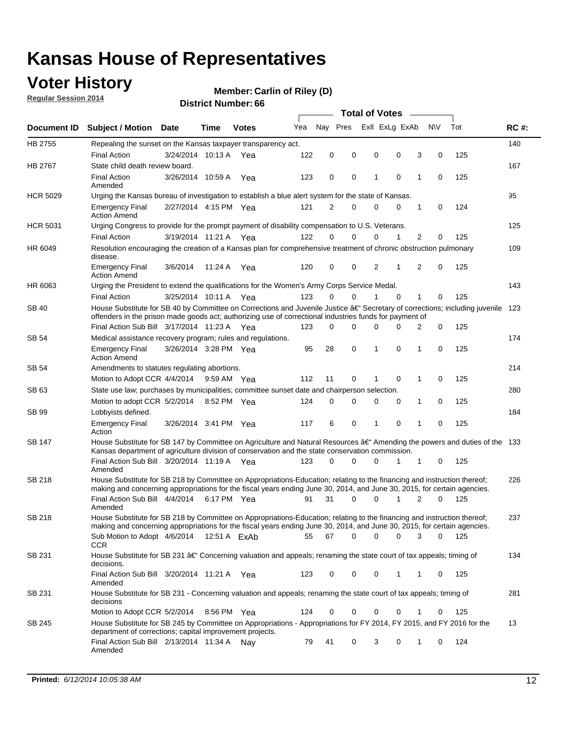### **Voter History**

**Regular Session 2014**

#### **Carlin of Riley (D)**

|                    |                                                                                                                                                                                                                                      |                       |             |              |     |             |          | <b>Total of Votes</b> |          |              |             |     |             |
|--------------------|--------------------------------------------------------------------------------------------------------------------------------------------------------------------------------------------------------------------------------------|-----------------------|-------------|--------------|-----|-------------|----------|-----------------------|----------|--------------|-------------|-----|-------------|
| <b>Document ID</b> | <b>Subject / Motion</b>                                                                                                                                                                                                              | <b>Date</b>           | Time        | <b>Votes</b> | Yea | Nay Pres    |          | Exll ExLg ExAb        |          |              | <b>NV</b>   | Tot | <b>RC#:</b> |
| HB 2755            | Repealing the sunset on the Kansas taxpayer transparency act.                                                                                                                                                                        |                       |             |              |     |             |          |                       |          |              |             |     | 140         |
|                    | <b>Final Action</b>                                                                                                                                                                                                                  | 3/24/2014 10:13 A     |             | Yea          | 122 | 0           | 0        | 0                     | 0        | 3            | 0           | 125 |             |
| HB 2767            | State child death review board.                                                                                                                                                                                                      |                       |             |              |     |             |          |                       |          |              |             |     | 167         |
|                    | <b>Final Action</b><br>Amended                                                                                                                                                                                                       | 3/26/2014 10:59 A     |             | Yea          | 123 | 0           | 0        | 1                     | 0        | 1            | 0           | 125 |             |
| <b>HCR 5029</b>    | Urging the Kansas bureau of investigation to establish a blue alert system for the state of Kansas.                                                                                                                                  |                       |             |              |     |             |          |                       |          |              |             |     | 95          |
|                    | <b>Emergency Final</b><br><b>Action Amend</b>                                                                                                                                                                                        | 2/27/2014 4:15 PM Yea |             |              | 121 | 2           | 0        | 0                     | 0        | 1            | 0           | 124 |             |
| <b>HCR 5031</b>    | Urging Congress to provide for the prompt payment of disability compensation to U.S. Veterans.                                                                                                                                       |                       |             |              |     |             |          |                       |          |              |             |     | 125         |
|                    | <b>Final Action</b>                                                                                                                                                                                                                  | 3/19/2014 11:21 A Yea |             |              | 122 | $\Omega$    | 0        | 0                     | 1        | 2            | 0           | 125 |             |
| HR 6049            | Resolution encouraging the creation of a Kansas plan for comprehensive treatment of chronic obstruction pulmonary<br>disease.                                                                                                        |                       |             |              |     |             |          |                       |          |              |             |     | 109         |
|                    | <b>Emergency Final</b><br><b>Action Amend</b>                                                                                                                                                                                        | 3/6/2014              | 11:24 A     | Yea          | 120 | 0           | 0        | 2                     | 1        | 2            | $\mathbf 0$ | 125 |             |
| HR 6063            | Urging the President to extend the qualifications for the Women's Army Corps Service Medal.                                                                                                                                          |                       |             |              |     |             |          |                       |          |              |             |     | 143         |
|                    | <b>Final Action</b>                                                                                                                                                                                                                  | 3/25/2014 10:11 A Yea |             |              | 123 | $\Omega$    | $\Omega$ | 1                     | $\Omega$ | $\mathbf{1}$ | 0           | 125 |             |
| SB 40              | House Substitute for SB 40 by Committee on Corrections and Juvenile Justice †Secretary of corrections; including juvenile<br>offenders in the prison made goods act; authorizing use of correctional industries funds for payment of |                       |             |              |     |             |          |                       |          |              |             |     | 123         |
|                    | Final Action Sub Bill 3/17/2014 11:23 A Yea                                                                                                                                                                                          |                       |             |              | 123 | $\Omega$    | 0        | 0                     | 0        | 2            | 0           | 125 |             |
| SB 54              | Medical assistance recovery program; rules and regulations.                                                                                                                                                                          |                       |             |              |     |             |          |                       |          |              |             |     | 174         |
|                    | <b>Emergency Final</b><br><b>Action Amend</b>                                                                                                                                                                                        | 3/26/2014 3:28 PM Yea |             |              | 95  | 28          | 0        | 1                     | 0        | 1            | 0           | 125 |             |
| SB 54              | Amendments to statutes regulating abortions.                                                                                                                                                                                         |                       |             |              |     |             |          |                       |          |              |             |     | 214         |
|                    | Motion to Adopt CCR 4/4/2014                                                                                                                                                                                                         |                       | 9:59 AM Yea |              | 112 | 11          | 0        |                       | 0        | 1            | 0           | 125 |             |
| SB 63              | State use law; purchases by municipalities; committee sunset date and chairperson selection.                                                                                                                                         |                       |             |              |     |             |          |                       |          |              |             |     | 280         |
|                    | Motion to adopt CCR 5/2/2014                                                                                                                                                                                                         |                       | 8:52 PM Yea |              | 124 | $\mathbf 0$ | 0        | 0                     | 0        | 1            | 0           | 125 |             |
| SB 99              | Lobbyists defined.                                                                                                                                                                                                                   |                       |             |              |     |             |          |                       |          |              |             |     | 184         |
|                    | <b>Emergency Final</b><br>Action                                                                                                                                                                                                     | 3/26/2014 3:41 PM Yea |             |              | 117 | 6           | 0        | 1                     | 0        | 1            | 0           | 125 |             |
| SB 147             | House Substitute for SB 147 by Committee on Agriculture and Natural Resources †Amending the powers and duties of the 133<br>Kansas department of agriculture division of conservation and the state conservation commission.         |                       |             |              |     |             |          |                       |          |              |             |     |             |
|                    | Final Action Sub Bill 3/20/2014 11:19 A Yea<br>Amended                                                                                                                                                                               |                       |             |              | 123 | $\Omega$    | 0        | 0                     | 1        | 1            | 0           | 125 |             |
| <b>SB 218</b>      | House Substitute for SB 218 by Committee on Appropriations-Education; relating to the financing and instruction thereof;                                                                                                             |                       |             |              |     |             |          |                       |          |              |             |     | 226         |
|                    | making and concerning appropriations for the fiscal years ending June 30, 2014, and June 30, 2015, for certain agencies.<br>Final Action Sub Bill 4/4/2014 6:17 PM Yea                                                               |                       |             |              | 91  | 31          | 0        | 0                     | 1        | 2            | $\Omega$    | 125 |             |
|                    | Amended                                                                                                                                                                                                                              |                       |             |              |     |             |          |                       |          |              |             |     |             |
| <b>SB 218</b>      | House Substitute for SB 218 by Committee on Appropriations-Education; relating to the financing and instruction thereof;                                                                                                             |                       |             |              |     |             |          |                       |          |              |             |     | 237         |
|                    | making and concerning appropriations for the fiscal years ending June 30, 2014, and June 30, 2015, for certain agencies.                                                                                                             |                       |             |              |     |             |          |                       |          |              |             |     |             |
|                    | Sub Motion to Adopt $4/6/2014$ 12:51 A $ExAb$<br><b>CCR</b>                                                                                                                                                                          |                       |             |              | 55  | 67          | 0        | 0                     | 0        | 3            | 0           | 125 |             |
| SB 231             | House Substitute for SB 231 †Concerning valuation and appeals; renaming the state court of tax appeals; timing of<br>decisions.                                                                                                      |                       |             |              |     |             |          |                       |          |              |             |     | 134         |
|                    | Final Action Sub Bill 3/20/2014 11:21 A Yea<br>Amended                                                                                                                                                                               |                       |             |              | 123 | 0           | 0        | 0                     | 1        | 1            | 0           | 125 |             |
| SB 231             | House Substitute for SB 231 - Concerning valuation and appeals; renaming the state court of tax appeals; timing of<br>decisions                                                                                                      |                       |             |              |     |             |          |                       |          |              |             |     | 281         |
|                    | Motion to Adopt CCR 5/2/2014                                                                                                                                                                                                         |                       | 8:56 PM Yea |              | 124 | 0           | 0        | 0                     | 0        | 1            | 0           | 125 |             |
| SB 245             | House Substitute for SB 245 by Committee on Appropriations - Appropriations for FY 2014, FY 2015, and FY 2016 for the<br>department of corrections; capital improvement projects.                                                    |                       |             |              |     |             |          |                       |          |              |             |     | 13          |
|                    | Final Action Sub Bill 2/13/2014 11:34 A<br>Amended                                                                                                                                                                                   |                       |             | . Nav        | 79  | 41          | 0        | 3                     | 0        | 1            | 0           | 124 |             |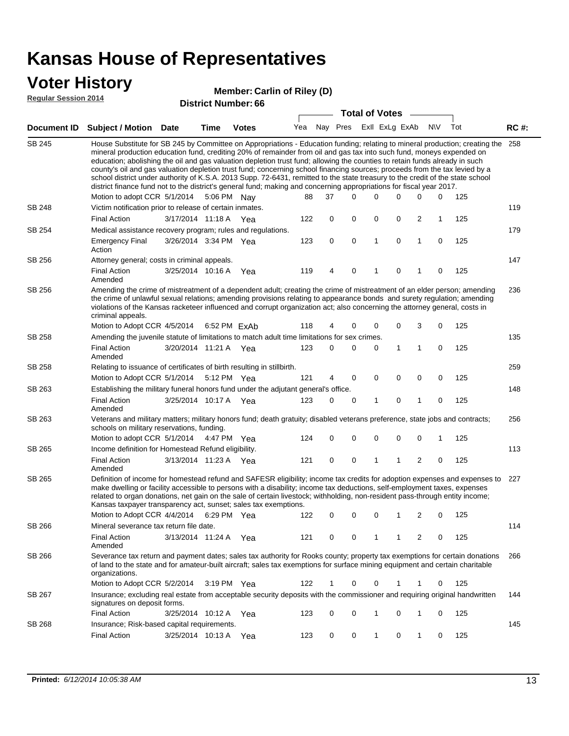### **Voter History**

#### **Carlin of Riley (D)**

**Regular Session 2014**

| <b>District Number: 66</b> |  |
|----------------------------|--|
|                            |  |

|                    |                                                                                                                                                                                                                                                                                                                                                                                                                                                                                                                                                                                                                                                                                                                                                                                                               |                       |              |     |    | <b>Total of Votes</b>       |   |              |   |             |     |             |
|--------------------|---------------------------------------------------------------------------------------------------------------------------------------------------------------------------------------------------------------------------------------------------------------------------------------------------------------------------------------------------------------------------------------------------------------------------------------------------------------------------------------------------------------------------------------------------------------------------------------------------------------------------------------------------------------------------------------------------------------------------------------------------------------------------------------------------------------|-----------------------|--------------|-----|----|-----------------------------|---|--------------|---|-------------|-----|-------------|
| <b>Document ID</b> | <b>Subject / Motion Date</b>                                                                                                                                                                                                                                                                                                                                                                                                                                                                                                                                                                                                                                                                                                                                                                                  | Time                  | <b>Votes</b> |     |    | Yea Nay Pres ExII ExLg ExAb |   |              |   | N\V         | Tot | <b>RC#:</b> |
| <b>SB 245</b>      | House Substitute for SB 245 by Committee on Appropriations - Education funding; relating to mineral production; creating the<br>mineral production education fund, crediting 20% of remainder from oil and gas tax into such fund, moneys expended on<br>education; abolishing the oil and gas valuation depletion trust fund; allowing the counties to retain funds already in such<br>county's oil and gas valuation depletion trust fund; concerning school financing sources; proceeds from the tax levied by a<br>school district under authority of K.S.A. 2013 Supp. 72-6431, remitted to the state treasury to the credit of the state school<br>district finance fund not to the district's general fund; making and concerning appropriations for fiscal year 2017.<br>Motion to adopt CCR 5/1/2014 |                       | 5:06 PM Nay  | 88  | 37 | $\Omega$                    | 0 | 0            | 0 | 0           | 125 | 258         |
| SB 248             | Victim notification prior to release of certain inmates.                                                                                                                                                                                                                                                                                                                                                                                                                                                                                                                                                                                                                                                                                                                                                      |                       |              |     |    |                             |   |              |   |             |     | 119         |
|                    | <b>Final Action</b>                                                                                                                                                                                                                                                                                                                                                                                                                                                                                                                                                                                                                                                                                                                                                                                           | 3/17/2014 11:18 A     | Yea          | 122 | 0  | 0                           | 0 | 0            | 2 | 1           | 125 |             |
| SB 254             | Medical assistance recovery program; rules and regulations.                                                                                                                                                                                                                                                                                                                                                                                                                                                                                                                                                                                                                                                                                                                                                   |                       |              |     |    |                             |   |              |   |             |     | 179         |
|                    | <b>Emergency Final</b><br>Action                                                                                                                                                                                                                                                                                                                                                                                                                                                                                                                                                                                                                                                                                                                                                                              | 3/26/2014 3:34 PM Yea |              | 123 | 0  | $\mathbf 0$                 | 1 | $\mathbf 0$  | 1 | $\mathbf 0$ | 125 |             |
| SB 256             | Attorney general; costs in criminal appeals.                                                                                                                                                                                                                                                                                                                                                                                                                                                                                                                                                                                                                                                                                                                                                                  |                       |              |     |    |                             |   |              |   |             |     | 147         |
|                    | <b>Final Action</b><br>Amended                                                                                                                                                                                                                                                                                                                                                                                                                                                                                                                                                                                                                                                                                                                                                                                | 3/25/2014 10:16 A     | Yea          | 119 | 4  | $\mathbf 0$                 | 1 | $\mathbf 0$  | 1 | $\mathbf 0$ | 125 |             |
| SB 256             | Amending the crime of mistreatment of a dependent adult; creating the crime of mistreatment of an elder person; amending<br>the crime of unlawful sexual relations; amending provisions relating to appearance bonds and surety regulation; amending<br>violations of the Kansas racketeer influenced and corrupt organization act; also concerning the attorney general, costs in<br>criminal appeals.                                                                                                                                                                                                                                                                                                                                                                                                       |                       |              |     |    |                             |   |              |   |             |     | 236         |
|                    | Motion to Adopt CCR 4/5/2014                                                                                                                                                                                                                                                                                                                                                                                                                                                                                                                                                                                                                                                                                                                                                                                  |                       | 6:52 PM FxAb | 118 | 4  | 0                           | 0 | 0            | 3 | 0           | 125 |             |
| SB 258             | Amending the juvenile statute of limitations to match adult time limitations for sex crimes.                                                                                                                                                                                                                                                                                                                                                                                                                                                                                                                                                                                                                                                                                                                  |                       |              |     |    |                             |   |              |   |             |     | 135         |
|                    | <b>Final Action</b><br>Amended                                                                                                                                                                                                                                                                                                                                                                                                                                                                                                                                                                                                                                                                                                                                                                                | 3/20/2014 11:21 A Yea |              | 123 | 0  | 0                           | 0 | $\mathbf{1}$ | 1 | 0           | 125 |             |
| SB 258             | Relating to issuance of certificates of birth resulting in stillbirth.                                                                                                                                                                                                                                                                                                                                                                                                                                                                                                                                                                                                                                                                                                                                        |                       |              |     |    |                             |   |              |   |             |     | 259         |
| SB 263             | Motion to Adopt CCR 5/1/2014 5:12 PM Yea<br>Establishing the military funeral honors fund under the adjutant general's office.                                                                                                                                                                                                                                                                                                                                                                                                                                                                                                                                                                                                                                                                                |                       |              | 121 | 4  | 0                           | 0 | 0            | 0 | 0           | 125 | 148         |
|                    | <b>Final Action</b><br>Amended                                                                                                                                                                                                                                                                                                                                                                                                                                                                                                                                                                                                                                                                                                                                                                                | 3/25/2014 10:17 A Yea |              | 123 | 0  | 0                           | 1 | 0            | 1 | 0           | 125 |             |
| SB 263             | Veterans and military matters; military honors fund; death gratuity; disabled veterans preference, state jobs and contracts;<br>schools on military reservations, funding.                                                                                                                                                                                                                                                                                                                                                                                                                                                                                                                                                                                                                                    |                       |              |     |    |                             |   |              |   |             |     | 256         |
|                    | Motion to adopt CCR 5/1/2014 4:47 PM Yea                                                                                                                                                                                                                                                                                                                                                                                                                                                                                                                                                                                                                                                                                                                                                                      |                       |              | 124 | 0  | 0                           | 0 | 0            | 0 | 1           | 125 |             |
| SB 265             | Income definition for Homestead Refund eligibility.<br><b>Final Action</b>                                                                                                                                                                                                                                                                                                                                                                                                                                                                                                                                                                                                                                                                                                                                    | 3/13/2014 11:23 A Yea |              | 121 | 0  | 0                           | 1 | 1            | 2 | 0           | 125 | 113         |
|                    | Amended                                                                                                                                                                                                                                                                                                                                                                                                                                                                                                                                                                                                                                                                                                                                                                                                       |                       |              |     |    |                             |   |              |   |             |     |             |
| SB 265             | Definition of income for homestead refund and SAFESR eligibility; income tax credits for adoption expenses and expenses to<br>make dwelling or facility accessible to persons with a disability; income tax deductions, self-employment taxes, expenses<br>related to organ donations, net gain on the sale of certain livestock; withholding, non-resident pass-through entity income;<br>Kansas taxpayer transparency act, sunset; sales tax exemptions.<br>Motion to Adopt CCR 4/4/2014 6:29 PM Yea                                                                                                                                                                                                                                                                                                        |                       |              | 122 | 0  | 0                           | 0 | 1            | 2 | 0           | 125 | 227         |
| SB 266             | Mineral severance tax return file date.                                                                                                                                                                                                                                                                                                                                                                                                                                                                                                                                                                                                                                                                                                                                                                       |                       |              |     |    |                             |   |              |   |             |     | 114         |
|                    | <b>Final Action</b><br>Amended                                                                                                                                                                                                                                                                                                                                                                                                                                                                                                                                                                                                                                                                                                                                                                                | 3/13/2014 11:24 A     | Yea          | 121 | 0  | 0                           | 1 | 1            | 2 | 0           | 125 |             |
| SB 266             | Severance tax return and payment dates; sales tax authority for Rooks county; property tax exemptions for certain donations<br>of land to the state and for amateur-built aircraft; sales tax exemptions for surface mining equipment and certain charitable<br>organizations.                                                                                                                                                                                                                                                                                                                                                                                                                                                                                                                                |                       |              |     |    |                             |   |              |   |             |     | 266         |
|                    | Motion to Adopt CCR 5/2/2014                                                                                                                                                                                                                                                                                                                                                                                                                                                                                                                                                                                                                                                                                                                                                                                  |                       | 3:19 PM Yea  | 122 | 1  | 0                           | 0 | 1            | 1 | 0           | 125 |             |
| SB 267             | Insurance; excluding real estate from acceptable security deposits with the commissioner and requiring original handwritten<br>signatures on deposit forms.                                                                                                                                                                                                                                                                                                                                                                                                                                                                                                                                                                                                                                                   |                       |              |     |    |                             |   |              |   |             |     | 144         |
|                    | <b>Final Action</b>                                                                                                                                                                                                                                                                                                                                                                                                                                                                                                                                                                                                                                                                                                                                                                                           | 3/25/2014 10:12 A     | Yea          | 123 | 0  | 0                           | 1 | 0            | 1 | 0           | 125 |             |
| SB 268             | Insurance; Risk-based capital requirements.                                                                                                                                                                                                                                                                                                                                                                                                                                                                                                                                                                                                                                                                                                                                                                   |                       |              |     |    |                             |   |              |   |             |     | 145         |
|                    | Final Action                                                                                                                                                                                                                                                                                                                                                                                                                                                                                                                                                                                                                                                                                                                                                                                                  | 3/25/2014 10:13 A     | Yea          | 123 | 0  | 0                           | 1 | 0            | 1 | 0           | 125 |             |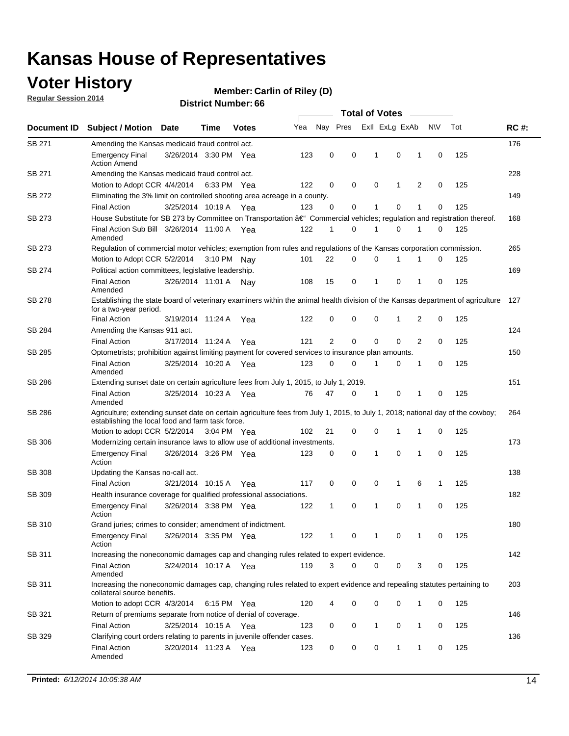### **Voter History**

**Regular Session 2014**

#### **Carlin of Riley (D)**

| Nay Pres<br>Exll ExLg ExAb<br>N\V<br>Yea<br>Document ID<br><b>Subject / Motion Date</b><br><b>Votes</b><br>Time<br><b>SB 271</b><br>Amending the Kansas medicaid fraud control act.<br>123<br>0<br>0<br>$\mathbf{1}$<br>0<br>$\mathbf 0$<br><b>Emergency Final</b><br>3/26/2014 3:30 PM Yea<br>1<br><b>Action Amend</b><br>SB 271<br>Amending the Kansas medicaid fraud control act.<br>122<br>0<br>0<br>0<br>2<br>0<br>Motion to Adopt CCR 4/4/2014 6:33 PM Yea<br>1<br>SB 272<br>Eliminating the 3% limit on controlled shooting area acreage in a county.<br>123<br>0<br>0<br>1<br>0<br>1<br>0<br><b>Final Action</b><br>3/25/2014 10:19 A Yea<br>House Substitute for SB 273 by Committee on Transportation †Commercial vehicles; regulation and registration thereof.<br>SB 273<br>Final Action Sub Bill 3/26/2014 11:00 A Yea<br>122<br>0<br>0<br>1<br>1<br>1<br>0<br>Amended<br>SB 273<br>Regulation of commercial motor vehicles; exemption from rules and regulations of the Kansas corporation commission.<br>22<br>0<br>0<br>0<br>Motion to Adopt CCR 5/2/2014 3:10 PM Nay<br>101<br>1<br>1<br>SB 274<br>Political action committees, legislative leadership.<br>15<br>0<br>$\mathbf{1}$<br>0<br>1<br>0<br><b>Final Action</b><br>3/26/2014 11:01 A Nay<br>108<br>Amended<br>SB 278<br>Establishing the state board of veterinary examiners within the animal health division of the Kansas department of agriculture<br>for a two-year period.<br>3/19/2014 11:24 A<br>0<br>0<br>0<br>2<br>$\mathbf 0$<br><b>Final Action</b><br>122<br>1<br>Yea<br>SB 284<br>Amending the Kansas 911 act.<br>2<br>$\mathbf 0$<br>$\mathbf 0$<br>$\mathbf 0$<br>121<br>2<br>0<br><b>Final Action</b><br>3/17/2014 11:24 A<br>Yea | Tot<br><b>RC#:</b><br>176<br>125<br>228<br>125<br>149 |  |  |  |  |  |  |  |
|------------------------------------------------------------------------------------------------------------------------------------------------------------------------------------------------------------------------------------------------------------------------------------------------------------------------------------------------------------------------------------------------------------------------------------------------------------------------------------------------------------------------------------------------------------------------------------------------------------------------------------------------------------------------------------------------------------------------------------------------------------------------------------------------------------------------------------------------------------------------------------------------------------------------------------------------------------------------------------------------------------------------------------------------------------------------------------------------------------------------------------------------------------------------------------------------------------------------------------------------------------------------------------------------------------------------------------------------------------------------------------------------------------------------------------------------------------------------------------------------------------------------------------------------------------------------------------------------------------------------------------------------------------------------------------------------------------------------------|-------------------------------------------------------|--|--|--|--|--|--|--|
|                                                                                                                                                                                                                                                                                                                                                                                                                                                                                                                                                                                                                                                                                                                                                                                                                                                                                                                                                                                                                                                                                                                                                                                                                                                                                                                                                                                                                                                                                                                                                                                                                                                                                                                              |                                                       |  |  |  |  |  |  |  |
|                                                                                                                                                                                                                                                                                                                                                                                                                                                                                                                                                                                                                                                                                                                                                                                                                                                                                                                                                                                                                                                                                                                                                                                                                                                                                                                                                                                                                                                                                                                                                                                                                                                                                                                              |                                                       |  |  |  |  |  |  |  |
|                                                                                                                                                                                                                                                                                                                                                                                                                                                                                                                                                                                                                                                                                                                                                                                                                                                                                                                                                                                                                                                                                                                                                                                                                                                                                                                                                                                                                                                                                                                                                                                                                                                                                                                              |                                                       |  |  |  |  |  |  |  |
|                                                                                                                                                                                                                                                                                                                                                                                                                                                                                                                                                                                                                                                                                                                                                                                                                                                                                                                                                                                                                                                                                                                                                                                                                                                                                                                                                                                                                                                                                                                                                                                                                                                                                                                              |                                                       |  |  |  |  |  |  |  |
|                                                                                                                                                                                                                                                                                                                                                                                                                                                                                                                                                                                                                                                                                                                                                                                                                                                                                                                                                                                                                                                                                                                                                                                                                                                                                                                                                                                                                                                                                                                                                                                                                                                                                                                              |                                                       |  |  |  |  |  |  |  |
|                                                                                                                                                                                                                                                                                                                                                                                                                                                                                                                                                                                                                                                                                                                                                                                                                                                                                                                                                                                                                                                                                                                                                                                                                                                                                                                                                                                                                                                                                                                                                                                                                                                                                                                              |                                                       |  |  |  |  |  |  |  |
|                                                                                                                                                                                                                                                                                                                                                                                                                                                                                                                                                                                                                                                                                                                                                                                                                                                                                                                                                                                                                                                                                                                                                                                                                                                                                                                                                                                                                                                                                                                                                                                                                                                                                                                              | 125                                                   |  |  |  |  |  |  |  |
|                                                                                                                                                                                                                                                                                                                                                                                                                                                                                                                                                                                                                                                                                                                                                                                                                                                                                                                                                                                                                                                                                                                                                                                                                                                                                                                                                                                                                                                                                                                                                                                                                                                                                                                              | 168                                                   |  |  |  |  |  |  |  |
|                                                                                                                                                                                                                                                                                                                                                                                                                                                                                                                                                                                                                                                                                                                                                                                                                                                                                                                                                                                                                                                                                                                                                                                                                                                                                                                                                                                                                                                                                                                                                                                                                                                                                                                              | 125                                                   |  |  |  |  |  |  |  |
|                                                                                                                                                                                                                                                                                                                                                                                                                                                                                                                                                                                                                                                                                                                                                                                                                                                                                                                                                                                                                                                                                                                                                                                                                                                                                                                                                                                                                                                                                                                                                                                                                                                                                                                              | 265                                                   |  |  |  |  |  |  |  |
|                                                                                                                                                                                                                                                                                                                                                                                                                                                                                                                                                                                                                                                                                                                                                                                                                                                                                                                                                                                                                                                                                                                                                                                                                                                                                                                                                                                                                                                                                                                                                                                                                                                                                                                              | 125                                                   |  |  |  |  |  |  |  |
|                                                                                                                                                                                                                                                                                                                                                                                                                                                                                                                                                                                                                                                                                                                                                                                                                                                                                                                                                                                                                                                                                                                                                                                                                                                                                                                                                                                                                                                                                                                                                                                                                                                                                                                              | 169                                                   |  |  |  |  |  |  |  |
|                                                                                                                                                                                                                                                                                                                                                                                                                                                                                                                                                                                                                                                                                                                                                                                                                                                                                                                                                                                                                                                                                                                                                                                                                                                                                                                                                                                                                                                                                                                                                                                                                                                                                                                              | 125                                                   |  |  |  |  |  |  |  |
|                                                                                                                                                                                                                                                                                                                                                                                                                                                                                                                                                                                                                                                                                                                                                                                                                                                                                                                                                                                                                                                                                                                                                                                                                                                                                                                                                                                                                                                                                                                                                                                                                                                                                                                              | 127                                                   |  |  |  |  |  |  |  |
|                                                                                                                                                                                                                                                                                                                                                                                                                                                                                                                                                                                                                                                                                                                                                                                                                                                                                                                                                                                                                                                                                                                                                                                                                                                                                                                                                                                                                                                                                                                                                                                                                                                                                                                              | 125                                                   |  |  |  |  |  |  |  |
|                                                                                                                                                                                                                                                                                                                                                                                                                                                                                                                                                                                                                                                                                                                                                                                                                                                                                                                                                                                                                                                                                                                                                                                                                                                                                                                                                                                                                                                                                                                                                                                                                                                                                                                              | 124                                                   |  |  |  |  |  |  |  |
|                                                                                                                                                                                                                                                                                                                                                                                                                                                                                                                                                                                                                                                                                                                                                                                                                                                                                                                                                                                                                                                                                                                                                                                                                                                                                                                                                                                                                                                                                                                                                                                                                                                                                                                              | 125                                                   |  |  |  |  |  |  |  |
| SB 285<br>Optometrists; prohibition against limiting payment for covered services to insurance plan amounts.                                                                                                                                                                                                                                                                                                                                                                                                                                                                                                                                                                                                                                                                                                                                                                                                                                                                                                                                                                                                                                                                                                                                                                                                                                                                                                                                                                                                                                                                                                                                                                                                                 | 150                                                   |  |  |  |  |  |  |  |
| <b>Final Action</b><br>3/25/2014 10:20 A<br>123<br>0<br>0<br>0<br>$\mathbf{1}$<br>1<br>0<br>Yea<br>Amended                                                                                                                                                                                                                                                                                                                                                                                                                                                                                                                                                                                                                                                                                                                                                                                                                                                                                                                                                                                                                                                                                                                                                                                                                                                                                                                                                                                                                                                                                                                                                                                                                   | 125                                                   |  |  |  |  |  |  |  |
| SB 286<br>Extending sunset date on certain agriculture fees from July 1, 2015, to July 1, 2019.                                                                                                                                                                                                                                                                                                                                                                                                                                                                                                                                                                                                                                                                                                                                                                                                                                                                                                                                                                                                                                                                                                                                                                                                                                                                                                                                                                                                                                                                                                                                                                                                                              | 151                                                   |  |  |  |  |  |  |  |
| 47<br>0<br>0<br><b>Final Action</b><br>3/25/2014 10:23 A Yea<br>76<br>-1<br>1<br>0<br>Amended                                                                                                                                                                                                                                                                                                                                                                                                                                                                                                                                                                                                                                                                                                                                                                                                                                                                                                                                                                                                                                                                                                                                                                                                                                                                                                                                                                                                                                                                                                                                                                                                                                | 125                                                   |  |  |  |  |  |  |  |
| SB 286<br>Agriculture; extending sunset date on certain agriculture fees from July 1, 2015, to July 1, 2018; national day of the cowboy;<br>establishing the local food and farm task force.                                                                                                                                                                                                                                                                                                                                                                                                                                                                                                                                                                                                                                                                                                                                                                                                                                                                                                                                                                                                                                                                                                                                                                                                                                                                                                                                                                                                                                                                                                                                 | 264                                                   |  |  |  |  |  |  |  |
| 0<br>0<br>Motion to adopt CCR 5/2/2014 3:04 PM Yea<br>102<br>21<br>1<br>1<br>0                                                                                                                                                                                                                                                                                                                                                                                                                                                                                                                                                                                                                                                                                                                                                                                                                                                                                                                                                                                                                                                                                                                                                                                                                                                                                                                                                                                                                                                                                                                                                                                                                                               | 125                                                   |  |  |  |  |  |  |  |
| SB 306<br>Modernizing certain insurance laws to allow use of additional investments.                                                                                                                                                                                                                                                                                                                                                                                                                                                                                                                                                                                                                                                                                                                                                                                                                                                                                                                                                                                                                                                                                                                                                                                                                                                                                                                                                                                                                                                                                                                                                                                                                                         | 173                                                   |  |  |  |  |  |  |  |
| 0<br>$\mathbf{1}$<br>0<br>1<br><b>Emergency Final</b><br>3/26/2014 3:26 PM Yea<br>123<br>0<br>0<br>Action                                                                                                                                                                                                                                                                                                                                                                                                                                                                                                                                                                                                                                                                                                                                                                                                                                                                                                                                                                                                                                                                                                                                                                                                                                                                                                                                                                                                                                                                                                                                                                                                                    | 125                                                   |  |  |  |  |  |  |  |
| <b>SB 308</b><br>Updating the Kansas no-call act.                                                                                                                                                                                                                                                                                                                                                                                                                                                                                                                                                                                                                                                                                                                                                                                                                                                                                                                                                                                                                                                                                                                                                                                                                                                                                                                                                                                                                                                                                                                                                                                                                                                                            | 138                                                   |  |  |  |  |  |  |  |
| 3/21/2014 10:15 A<br>0<br>0<br>0<br>$\mathbf{1}$<br>6<br><b>Final Action</b><br>117<br>1<br>Yea                                                                                                                                                                                                                                                                                                                                                                                                                                                                                                                                                                                                                                                                                                                                                                                                                                                                                                                                                                                                                                                                                                                                                                                                                                                                                                                                                                                                                                                                                                                                                                                                                              | 125                                                   |  |  |  |  |  |  |  |
| SB 309<br>Health insurance coverage for qualified professional associations.                                                                                                                                                                                                                                                                                                                                                                                                                                                                                                                                                                                                                                                                                                                                                                                                                                                                                                                                                                                                                                                                                                                                                                                                                                                                                                                                                                                                                                                                                                                                                                                                                                                 | 182                                                   |  |  |  |  |  |  |  |
| 3/26/2014 3:38 PM Yea<br>0<br>1<br>0<br>1<br><b>Emergency Final</b><br>122<br>1<br>0<br>Action                                                                                                                                                                                                                                                                                                                                                                                                                                                                                                                                                                                                                                                                                                                                                                                                                                                                                                                                                                                                                                                                                                                                                                                                                                                                                                                                                                                                                                                                                                                                                                                                                               | 125                                                   |  |  |  |  |  |  |  |
| SB 310<br>Grand juries; crimes to consider; amendment of indictment.                                                                                                                                                                                                                                                                                                                                                                                                                                                                                                                                                                                                                                                                                                                                                                                                                                                                                                                                                                                                                                                                                                                                                                                                                                                                                                                                                                                                                                                                                                                                                                                                                                                         | 180                                                   |  |  |  |  |  |  |  |
| 3/26/2014 3:35 PM Yea<br>122<br>0<br>1<br>0<br>0<br>Emergency Final<br>1<br>1<br>Action                                                                                                                                                                                                                                                                                                                                                                                                                                                                                                                                                                                                                                                                                                                                                                                                                                                                                                                                                                                                                                                                                                                                                                                                                                                                                                                                                                                                                                                                                                                                                                                                                                      | 125                                                   |  |  |  |  |  |  |  |
| SB 311<br>Increasing the noneconomic damages cap and changing rules related to expert evidence.                                                                                                                                                                                                                                                                                                                                                                                                                                                                                                                                                                                                                                                                                                                                                                                                                                                                                                                                                                                                                                                                                                                                                                                                                                                                                                                                                                                                                                                                                                                                                                                                                              | 142                                                   |  |  |  |  |  |  |  |
| 3/24/2014 10:17 A Yea<br>119<br>3<br>0<br>0<br>3<br><b>Final Action</b><br>0<br>0<br>Amended                                                                                                                                                                                                                                                                                                                                                                                                                                                                                                                                                                                                                                                                                                                                                                                                                                                                                                                                                                                                                                                                                                                                                                                                                                                                                                                                                                                                                                                                                                                                                                                                                                 | 125                                                   |  |  |  |  |  |  |  |
| SB 311<br>Increasing the noneconomic damages cap, changing rules related to expert evidence and repealing statutes pertaining to<br>collateral source benefits.                                                                                                                                                                                                                                                                                                                                                                                                                                                                                                                                                                                                                                                                                                                                                                                                                                                                                                                                                                                                                                                                                                                                                                                                                                                                                                                                                                                                                                                                                                                                                              | 203                                                   |  |  |  |  |  |  |  |
| 0<br>0<br>Motion to adopt CCR 4/3/2014<br>6:15 PM Yea<br>120<br>0<br>1<br>0<br>4                                                                                                                                                                                                                                                                                                                                                                                                                                                                                                                                                                                                                                                                                                                                                                                                                                                                                                                                                                                                                                                                                                                                                                                                                                                                                                                                                                                                                                                                                                                                                                                                                                             | 125                                                   |  |  |  |  |  |  |  |
| Return of premiums separate from notice of denial of coverage.<br>SB 321                                                                                                                                                                                                                                                                                                                                                                                                                                                                                                                                                                                                                                                                                                                                                                                                                                                                                                                                                                                                                                                                                                                                                                                                                                                                                                                                                                                                                                                                                                                                                                                                                                                     | 146                                                   |  |  |  |  |  |  |  |
| 3/25/2014 10:15 A Yea<br>0<br>$\mathbf{1}$<br>0<br><b>Final Action</b><br>123<br>0<br>$\mathbf{1}$<br>0                                                                                                                                                                                                                                                                                                                                                                                                                                                                                                                                                                                                                                                                                                                                                                                                                                                                                                                                                                                                                                                                                                                                                                                                                                                                                                                                                                                                                                                                                                                                                                                                                      |                                                       |  |  |  |  |  |  |  |
| SB 329<br>Clarifying court orders relating to parents in juvenile offender cases.<br><b>Final Action</b><br>3/20/2014 11:23 A Yea<br>123<br>0<br>0<br>0<br>1<br>1<br>0<br>Amended                                                                                                                                                                                                                                                                                                                                                                                                                                                                                                                                                                                                                                                                                                                                                                                                                                                                                                                                                                                                                                                                                                                                                                                                                                                                                                                                                                                                                                                                                                                                            | 125<br>136                                            |  |  |  |  |  |  |  |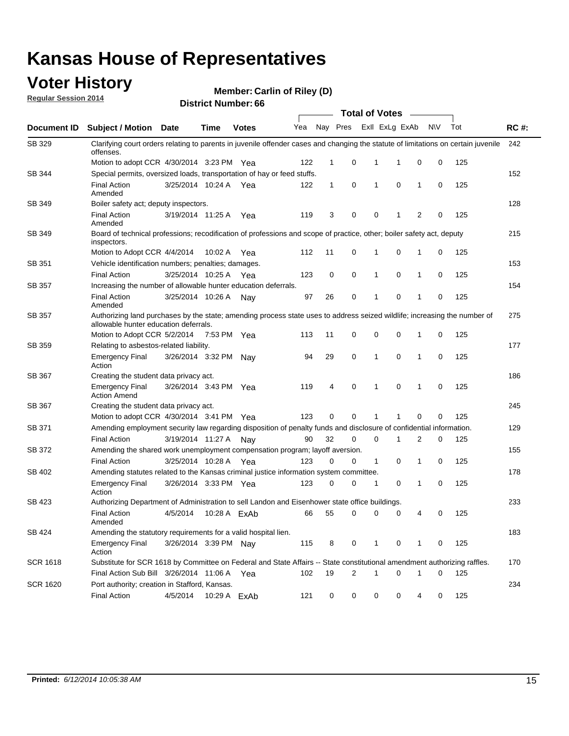### **Voter History**

**Regular Session 2014**

| <b>District Number: 66</b> |  |
|----------------------------|--|
|                            |  |

|                    |                                                                                                                                                                    |                       |              |              |     |              |   | <b>Total of Votes</b> |                |             |           |     |             |
|--------------------|--------------------------------------------------------------------------------------------------------------------------------------------------------------------|-----------------------|--------------|--------------|-----|--------------|---|-----------------------|----------------|-------------|-----------|-----|-------------|
| <b>Document ID</b> | <b>Subject / Motion Date</b>                                                                                                                                       |                       | Time         | <b>Votes</b> | Yea | Nay Pres     |   |                       | Exll ExLg ExAb |             | <b>NV</b> | Tot | <b>RC#:</b> |
| SB 329             | Clarifying court orders relating to parents in juvenile offender cases and changing the statute of limitations on certain juvenile<br>offenses.                    |                       |              |              |     |              |   |                       |                |             |           |     | 242         |
|                    | Motion to adopt CCR 4/30/2014 3:23 PM Yea                                                                                                                          |                       |              |              | 122 | 1            | 0 | 1                     | 1              | 0           | 0         | 125 |             |
| <b>SB 344</b>      | Special permits, oversized loads, transportation of hay or feed stuffs.                                                                                            |                       |              |              |     |              |   |                       |                |             |           |     | 152         |
|                    | <b>Final Action</b><br>Amended                                                                                                                                     | 3/25/2014 10:24 A     |              | Yea          | 122 | $\mathbf{1}$ | 0 | 1                     | $\mathbf 0$    | 1           | 0         | 125 |             |
| SB 349             | Boiler safety act; deputy inspectors.                                                                                                                              |                       |              |              |     |              |   |                       |                |             |           |     | 128         |
|                    | <b>Final Action</b><br>Amended                                                                                                                                     | 3/19/2014 11:25 A     |              | Yea          | 119 | 3            | 0 | 0                     | 1              | 2           | 0         | 125 |             |
| SB 349             | Board of technical professions; recodification of professions and scope of practice, other; boiler safety act, deputy<br>inspectors.                               |                       |              |              |     |              |   |                       |                |             |           |     | 215         |
|                    | Motion to Adopt CCR 4/4/2014                                                                                                                                       |                       | 10:02 A      | Yea          | 112 | 11           | 0 | 1                     | 0              | 1           | 0         | 125 |             |
| SB 351             | Vehicle identification numbers; penalties; damages.                                                                                                                |                       |              |              |     |              |   |                       |                |             |           |     | 153         |
|                    | <b>Final Action</b>                                                                                                                                                | 3/25/2014 10:25 A     |              | Yea          | 123 | 0            | 0 | 1                     | 0              | 1           | 0         | 125 |             |
| SB 357             | Increasing the number of allowable hunter education deferrals.                                                                                                     |                       |              |              |     |              |   |                       |                |             |           |     | 154         |
|                    | <b>Final Action</b><br>Amended                                                                                                                                     | 3/25/2014 10:26 A     |              | Nav          | 97  | 26           | 0 | 1                     | 0              | 1           | 0         | 125 |             |
| SB 357             | Authorizing land purchases by the state; amending process state uses to address seized wildlife; increasing the number of<br>allowable hunter education deferrals. |                       |              |              |     |              |   |                       |                |             |           |     | 275         |
|                    | Motion to Adopt CCR 5/2/2014                                                                                                                                       |                       | 7:53 PM Yea  |              | 113 | 11           | 0 | 0                     | $\mathbf 0$    | 1           | 0         | 125 |             |
| SB 359             | Relating to asbestos-related liability.                                                                                                                            |                       |              |              |     |              |   |                       |                |             |           |     | 177         |
|                    | <b>Emergency Final</b><br>Action                                                                                                                                   | 3/26/2014 3:32 PM Nay |              |              | 94  | 29           | 0 | 1                     | $\mathbf 0$    | 1           | 0         | 125 |             |
| <b>SB 367</b>      | Creating the student data privacy act.                                                                                                                             |                       |              |              |     |              |   |                       |                |             |           |     | 186         |
|                    | <b>Emergency Final</b><br><b>Action Amend</b>                                                                                                                      | 3/26/2014 3:43 PM Yea |              |              | 119 | 4            | 0 | 1                     | $\mathbf 0$    | 1           | 0         | 125 |             |
| SB 367             | Creating the student data privacy act.                                                                                                                             |                       |              |              |     |              |   |                       |                |             |           |     | 245         |
|                    | Motion to adopt CCR 4/30/2014 3:41 PM Yea                                                                                                                          |                       |              |              | 123 | 0            | 0 | 1                     |                | $\mathbf 0$ | 0         | 125 |             |
| SB 371             | Amending employment security law regarding disposition of penalty funds and disclosure of confidential information.                                                |                       |              |              |     |              |   |                       |                |             |           |     | 129         |
|                    | <b>Final Action</b>                                                                                                                                                | 3/19/2014 11:27 A     |              | Nav          | 90  | 32           | 0 | 0                     | 1              | 2           | 0         | 125 |             |
| <b>SB 372</b>      | Amending the shared work unemployment compensation program; layoff aversion.                                                                                       |                       |              |              |     |              |   |                       |                |             |           |     | 155         |
|                    | <b>Final Action</b>                                                                                                                                                | 3/25/2014 10:28 A     |              | Yea          | 123 | 0            | 0 | 1                     | 0              | 1           | 0         | 125 |             |
| SB 402             | Amending statutes related to the Kansas criminal justice information system committee.                                                                             |                       |              |              |     |              |   |                       |                |             |           |     | 178         |
|                    | <b>Emergency Final</b><br>Action                                                                                                                                   | 3/26/2014 3:33 PM Yea |              |              | 123 | 0            | 0 | 1                     | 0              | 1           | 0         | 125 |             |
| SB 423             | Authorizing Department of Administration to sell Landon and Eisenhower state office buildings.                                                                     |                       |              |              |     |              |   |                       |                |             |           |     | 233         |
|                    | <b>Final Action</b><br>Amended                                                                                                                                     | 4/5/2014              |              | 10:28 A ExAb | 66  | 55           | 0 | 0                     | 0              | 4           | 0         | 125 |             |
| SB 424             | Amending the statutory requirements for a valid hospital lien.                                                                                                     |                       |              |              |     |              |   |                       |                |             |           |     | 183         |
|                    | <b>Emergency Final</b><br>Action                                                                                                                                   | 3/26/2014 3:39 PM Nay |              |              | 115 | 8            | 0 | 1                     | 0              | 1           | 0         | 125 |             |
| SCR 1618           | Substitute for SCR 1618 by Committee on Federal and State Affairs -- State constitutional amendment authorizing raffles.                                           |                       |              |              |     |              |   |                       |                |             |           |     | 170         |
|                    | Final Action Sub Bill 3/26/2014 11:06 A Yea                                                                                                                        |                       |              |              | 102 | 19           | 2 | 1                     | $\mathbf 0$    | 1           | 0         | 125 |             |
| SCR 1620           | Port authority; creation in Stafford, Kansas.                                                                                                                      |                       |              |              |     |              |   |                       |                |             |           |     | 234         |
|                    | <b>Final Action</b>                                                                                                                                                | 4/5/2014              | 10:29 A ExAb |              | 121 | 0            | 0 | 0                     | 0              | 4           | 0         | 125 |             |